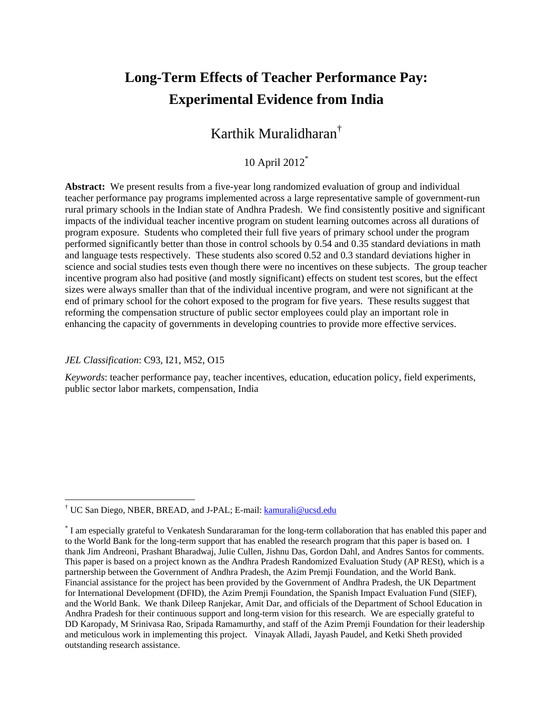# **Long-Term Effects of Teacher Performance Pay: Experimental Evidence from India**

## Karthik Muralidharan†

### 10 April 2012\*

**Abstract:** We present results from a five-year long randomized evaluation of group and individual teacher performance pay programs implemented across a large representative sample of government-run rural primary schools in the Indian state of Andhra Pradesh. We find consistently positive and significant impacts of the individual teacher incentive program on student learning outcomes across all durations of program exposure. Students who completed their full five years of primary school under the program performed significantly better than those in control schools by 0.54 and 0.35 standard deviations in math and language tests respectively. These students also scored 0.52 and 0.3 standard deviations higher in science and social studies tests even though there were no incentives on these subjects. The group teacher incentive program also had positive (and mostly significant) effects on student test scores, but the effect sizes were always smaller than that of the individual incentive program, and were not significant at the end of primary school for the cohort exposed to the program for five years. These results suggest that reforming the compensation structure of public sector employees could play an important role in enhancing the capacity of governments in developing countries to provide more effective services.

### *JEL Classification*: C93, I21, M52, O15

 $\overline{a}$ 

*Keywords*: teacher performance pay, teacher incentives, education, education policy, field experiments, public sector labor markets, compensation, India

<sup>&</sup>lt;sup>†</sup> UC San Diego, NBER, BREAD, and J-PAL; E-mail: **kamurali@ucsd.edu** 

<sup>\*</sup> I am especially grateful to Venkatesh Sundararaman for the long-term collaboration that has enabled this paper and to the World Bank for the long-term support that has enabled the research program that this paper is based on. I thank Jim Andreoni, Prashant Bharadwaj, Julie Cullen, Jishnu Das, Gordon Dahl, and Andres Santos for comments. This paper is based on a project known as the Andhra Pradesh Randomized Evaluation Study (AP RESt), which is a partnership between the Government of Andhra Pradesh, the Azim Premji Foundation, and the World Bank. Financial assistance for the project has been provided by the Government of Andhra Pradesh, the UK Department for International Development (DFID), the Azim Premji Foundation, the Spanish Impact Evaluation Fund (SIEF), and the World Bank. We thank Dileep Ranjekar, Amit Dar, and officials of the Department of School Education in Andhra Pradesh for their continuous support and long-term vision for this research. We are especially grateful to DD Karopady, M Srinivasa Rao, Sripada Ramamurthy, and staff of the Azim Premji Foundation for their leadership and meticulous work in implementing this project. Vinayak Alladi, Jayash Paudel, and Ketki Sheth provided outstanding research assistance.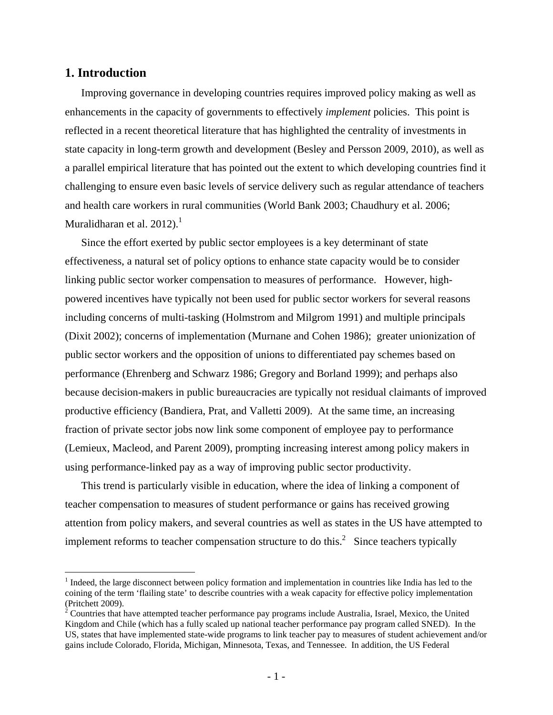### **1. Introduction**

 $\overline{a}$ 

Improving governance in developing countries requires improved policy making as well as enhancements in the capacity of governments to effectively *implement* policies. This point is reflected in a recent theoretical literature that has highlighted the centrality of investments in state capacity in long-term growth and development (Besley and Persson 2009, 2010), as well as a parallel empirical literature that has pointed out the extent to which developing countries find it challenging to ensure even basic levels of service delivery such as regular attendance of teachers and health care workers in rural communities (World Bank 2003; Chaudhury et al. 2006; Muralidharan et al. 2012). $^1$ 

Since the effort exerted by public sector employees is a key determinant of state effectiveness, a natural set of policy options to enhance state capacity would be to consider linking public sector worker compensation to measures of performance. However, highpowered incentives have typically not been used for public sector workers for several reasons including concerns of multi-tasking (Holmstrom and Milgrom 1991) and multiple principals (Dixit 2002); concerns of implementation (Murnane and Cohen 1986); greater unionization of public sector workers and the opposition of unions to differentiated pay schemes based on performance (Ehrenberg and Schwarz 1986; Gregory and Borland 1999); and perhaps also because decision-makers in public bureaucracies are typically not residual claimants of improved productive efficiency (Bandiera, Prat, and Valletti 2009). At the same time, an increasing fraction of private sector jobs now link some component of employee pay to performance (Lemieux, Macleod, and Parent 2009), prompting increasing interest among policy makers in using performance-linked pay as a way of improving public sector productivity.

This trend is particularly visible in education, where the idea of linking a component of teacher compensation to measures of student performance or gains has received growing attention from policy makers, and several countries as well as states in the US have attempted to implement reforms to teacher compensation structure to do this.<sup>2</sup> Since teachers typically

 $<sup>1</sup>$  Indeed, the large disconnect between policy formation and implementation in countries like India has led to the</sup> coining of the term 'flailing state' to describe countries with a weak capacity for effective policy implementation (Pritchett 2009).

 $2^2$  Countries that have attempted teacher performance pay programs include Australia, Israel, Mexico, the United Kingdom and Chile (which has a fully scaled up national teacher performance pay program called SNED). In the US, states that have implemented state-wide programs to link teacher pay to measures of student achievement and/or gains include Colorado, Florida, Michigan, Minnesota, Texas, and Tennessee. In addition, the US Federal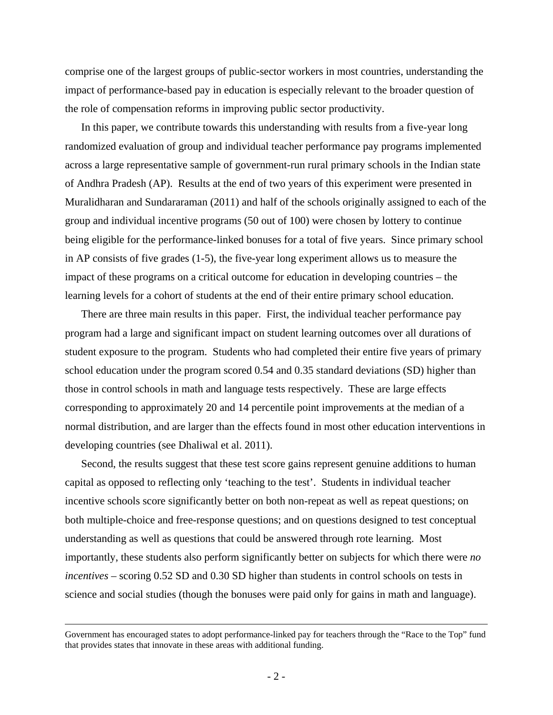comprise one of the largest groups of public-sector workers in most countries, understanding the impact of performance-based pay in education is especially relevant to the broader question of the role of compensation reforms in improving public sector productivity.

In this paper, we contribute towards this understanding with results from a five-year long randomized evaluation of group and individual teacher performance pay programs implemented across a large representative sample of government-run rural primary schools in the Indian state of Andhra Pradesh (AP). Results at the end of two years of this experiment were presented in Muralidharan and Sundararaman (2011) and half of the schools originally assigned to each of the group and individual incentive programs (50 out of 100) were chosen by lottery to continue being eligible for the performance-linked bonuses for a total of five years. Since primary school in AP consists of five grades (1-5), the five-year long experiment allows us to measure the impact of these programs on a critical outcome for education in developing countries – the learning levels for a cohort of students at the end of their entire primary school education.

There are three main results in this paper. First, the individual teacher performance pay program had a large and significant impact on student learning outcomes over all durations of student exposure to the program. Students who had completed their entire five years of primary school education under the program scored 0.54 and 0.35 standard deviations (SD) higher than those in control schools in math and language tests respectively. These are large effects corresponding to approximately 20 and 14 percentile point improvements at the median of a normal distribution, and are larger than the effects found in most other education interventions in developing countries (see Dhaliwal et al. 2011).

Second, the results suggest that these test score gains represent genuine additions to human capital as opposed to reflecting only 'teaching to the test'. Students in individual teacher incentive schools score significantly better on both non-repeat as well as repeat questions; on both multiple-choice and free-response questions; and on questions designed to test conceptual understanding as well as questions that could be answered through rote learning. Most importantly, these students also perform significantly better on subjects for which there were *no incentives* – scoring 0.52 SD and 0.30 SD higher than students in control schools on tests in science and social studies (though the bonuses were paid only for gains in math and language).

Government has encouraged states to adopt performance-linked pay for teachers through the "Race to the Top" fund that provides states that innovate in these areas with additional funding.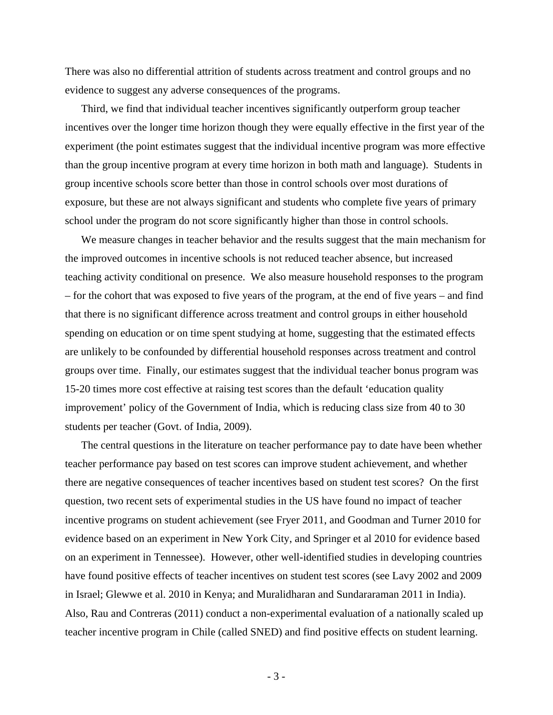There was also no differential attrition of students across treatment and control groups and no evidence to suggest any adverse consequences of the programs.

Third, we find that individual teacher incentives significantly outperform group teacher incentives over the longer time horizon though they were equally effective in the first year of the experiment (the point estimates suggest that the individual incentive program was more effective than the group incentive program at every time horizon in both math and language). Students in group incentive schools score better than those in control schools over most durations of exposure, but these are not always significant and students who complete five years of primary school under the program do not score significantly higher than those in control schools.

We measure changes in teacher behavior and the results suggest that the main mechanism for the improved outcomes in incentive schools is not reduced teacher absence, but increased teaching activity conditional on presence. We also measure household responses to the program – for the cohort that was exposed to five years of the program, at the end of five years – and find that there is no significant difference across treatment and control groups in either household spending on education or on time spent studying at home, suggesting that the estimated effects are unlikely to be confounded by differential household responses across treatment and control groups over time. Finally, our estimates suggest that the individual teacher bonus program was 15-20 times more cost effective at raising test scores than the default 'education quality improvement' policy of the Government of India, which is reducing class size from 40 to 30 students per teacher (Govt. of India, 2009).

The central questions in the literature on teacher performance pay to date have been whether teacher performance pay based on test scores can improve student achievement, and whether there are negative consequences of teacher incentives based on student test scores? On the first question, two recent sets of experimental studies in the US have found no impact of teacher incentive programs on student achievement (see Fryer 2011, and Goodman and Turner 2010 for evidence based on an experiment in New York City, and Springer et al 2010 for evidence based on an experiment in Tennessee). However, other well-identified studies in developing countries have found positive effects of teacher incentives on student test scores (see Lavy 2002 and 2009 in Israel; Glewwe et al. 2010 in Kenya; and Muralidharan and Sundararaman 2011 in India). Also, Rau and Contreras (2011) conduct a non-experimental evaluation of a nationally scaled up teacher incentive program in Chile (called SNED) and find positive effects on student learning.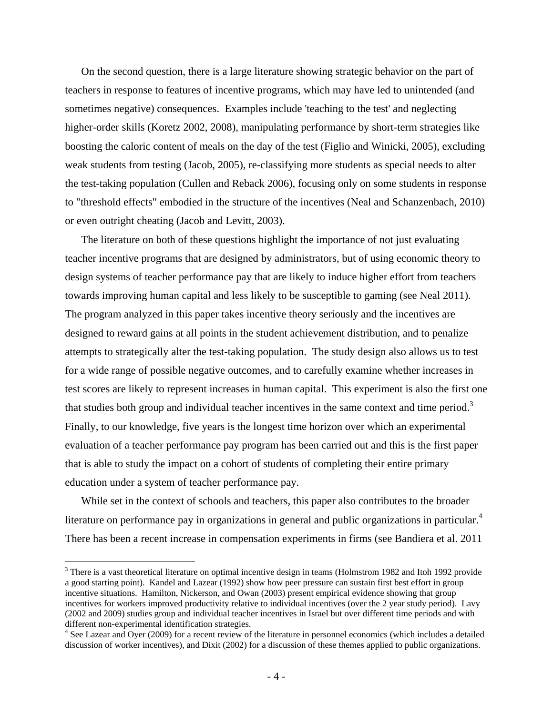On the second question, there is a large literature showing strategic behavior on the part of teachers in response to features of incentive programs, which may have led to unintended (and sometimes negative) consequences. Examples include 'teaching to the test' and neglecting higher-order skills (Koretz 2002, 2008), manipulating performance by short-term strategies like boosting the caloric content of meals on the day of the test (Figlio and Winicki, 2005), excluding weak students from testing (Jacob, 2005), re-classifying more students as special needs to alter the test-taking population (Cullen and Reback 2006), focusing only on some students in response to "threshold effects" embodied in the structure of the incentives (Neal and Schanzenbach, 2010) or even outright cheating (Jacob and Levitt, 2003).

The literature on both of these questions highlight the importance of not just evaluating teacher incentive programs that are designed by administrators, but of using economic theory to design systems of teacher performance pay that are likely to induce higher effort from teachers towards improving human capital and less likely to be susceptible to gaming (see Neal 2011). The program analyzed in this paper takes incentive theory seriously and the incentives are designed to reward gains at all points in the student achievement distribution, and to penalize attempts to strategically alter the test-taking population. The study design also allows us to test for a wide range of possible negative outcomes, and to carefully examine whether increases in test scores are likely to represent increases in human capital. This experiment is also the first one that studies both group and individual teacher incentives in the same context and time period.<sup>3</sup> Finally, to our knowledge, five years is the longest time horizon over which an experimental evaluation of a teacher performance pay program has been carried out and this is the first paper that is able to study the impact on a cohort of students of completing their entire primary education under a system of teacher performance pay.

While set in the context of schools and teachers, this paper also contributes to the broader literature on performance pay in organizations in general and public organizations in particular.<sup>4</sup> There has been a recent increase in compensation experiments in firms (see Bandiera et al. 2011

1

<sup>&</sup>lt;sup>3</sup> There is a vast theoretical literature on optimal incentive design in teams (Holmstrom 1982 and Itoh 1992 provide a good starting point). Kandel and Lazear (1992) show how peer pressure can sustain first best effort in group incentive situations. Hamilton, Nickerson, and Owan (2003) present empirical evidence showing that group incentives for workers improved productivity relative to individual incentives (over the 2 year study period). Lavy (2002 and 2009) studies group and individual teacher incentives in Israel but over different time periods and with different non-experimental identification strategies.

<sup>&</sup>lt;sup>4</sup> See Lazear and Oyer (2009) for a recent review of the literature in personnel economics (which includes a detailed discussion of worker incentives), and Dixit (2002) for a discussion of these themes applied to public organizations.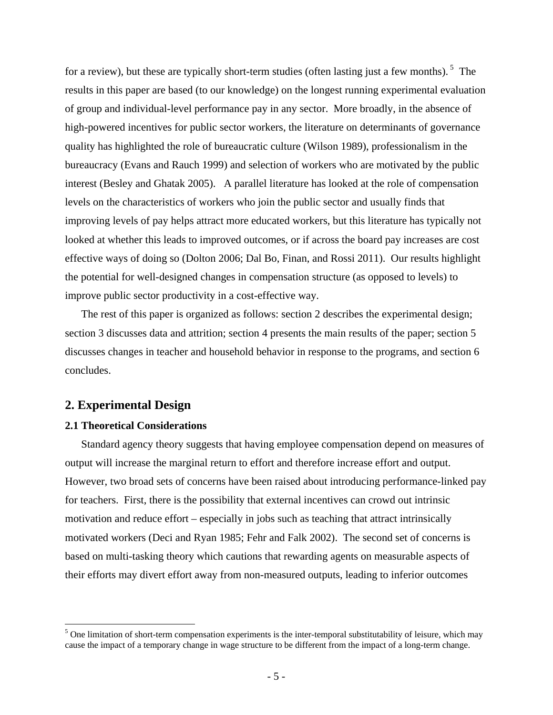for a review), but these are typically short-term studies (often lasting just a few months).<sup>5</sup> The results in this paper are based (to our knowledge) on the longest running experimental evaluation of group and individual-level performance pay in any sector. More broadly, in the absence of high-powered incentives for public sector workers, the literature on determinants of governance quality has highlighted the role of bureaucratic culture (Wilson 1989), professionalism in the bureaucracy (Evans and Rauch 1999) and selection of workers who are motivated by the public interest (Besley and Ghatak 2005). A parallel literature has looked at the role of compensation levels on the characteristics of workers who join the public sector and usually finds that improving levels of pay helps attract more educated workers, but this literature has typically not looked at whether this leads to improved outcomes, or if across the board pay increases are cost effective ways of doing so (Dolton 2006; Dal Bo, Finan, and Rossi 2011). Our results highlight the potential for well-designed changes in compensation structure (as opposed to levels) to improve public sector productivity in a cost-effective way.

The rest of this paper is organized as follows: section 2 describes the experimental design; section 3 discusses data and attrition; section 4 presents the main results of the paper; section 5 discusses changes in teacher and household behavior in response to the programs, and section 6 concludes.

### **2. Experimental Design**

 $\overline{a}$ 

### **2.1 Theoretical Considerations**

Standard agency theory suggests that having employee compensation depend on measures of output will increase the marginal return to effort and therefore increase effort and output. However, two broad sets of concerns have been raised about introducing performance-linked pay for teachers. First, there is the possibility that external incentives can crowd out intrinsic motivation and reduce effort – especially in jobs such as teaching that attract intrinsically motivated workers (Deci and Ryan 1985; Fehr and Falk 2002). The second set of concerns is based on multi-tasking theory which cautions that rewarding agents on measurable aspects of their efforts may divert effort away from non-measured outputs, leading to inferior outcomes

 $<sup>5</sup>$  One limitation of short-term compensation experiments is the inter-temporal substitutability of leisure, which may</sup> cause the impact of a temporary change in wage structure to be different from the impact of a long-term change.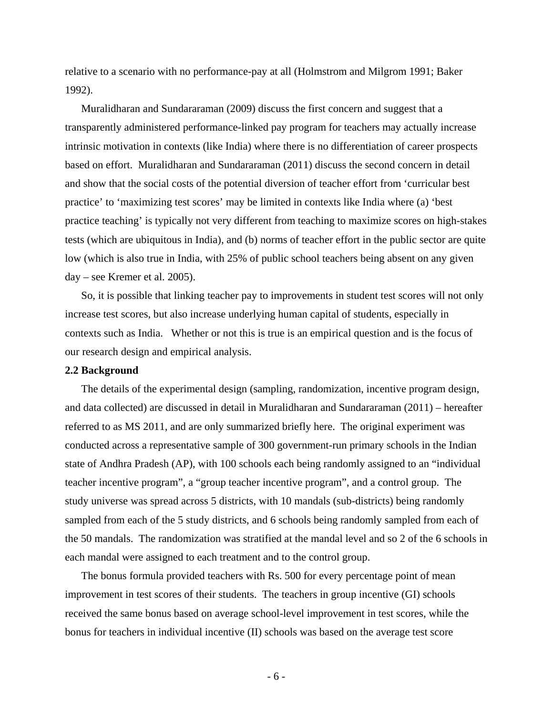relative to a scenario with no performance-pay at all (Holmstrom and Milgrom 1991; Baker 1992).

Muralidharan and Sundararaman (2009) discuss the first concern and suggest that a transparently administered performance-linked pay program for teachers may actually increase intrinsic motivation in contexts (like India) where there is no differentiation of career prospects based on effort. Muralidharan and Sundararaman (2011) discuss the second concern in detail and show that the social costs of the potential diversion of teacher effort from 'curricular best practice' to 'maximizing test scores' may be limited in contexts like India where (a) 'best practice teaching' is typically not very different from teaching to maximize scores on high-stakes tests (which are ubiquitous in India), and (b) norms of teacher effort in the public sector are quite low (which is also true in India, with 25% of public school teachers being absent on any given day – see Kremer et al. 2005).

So, it is possible that linking teacher pay to improvements in student test scores will not only increase test scores, but also increase underlying human capital of students, especially in contexts such as India. Whether or not this is true is an empirical question and is the focus of our research design and empirical analysis.

### **2.2 Background**

The details of the experimental design (sampling, randomization, incentive program design, and data collected) are discussed in detail in Muralidharan and Sundararaman (2011) – hereafter referred to as MS 2011, and are only summarized briefly here. The original experiment was conducted across a representative sample of 300 government-run primary schools in the Indian state of Andhra Pradesh (AP), with 100 schools each being randomly assigned to an "individual teacher incentive program", a "group teacher incentive program", and a control group. The study universe was spread across 5 districts, with 10 mandals (sub-districts) being randomly sampled from each of the 5 study districts, and 6 schools being randomly sampled from each of the 50 mandals. The randomization was stratified at the mandal level and so 2 of the 6 schools in each mandal were assigned to each treatment and to the control group.

The bonus formula provided teachers with Rs. 500 for every percentage point of mean improvement in test scores of their students. The teachers in group incentive (GI) schools received the same bonus based on average school-level improvement in test scores, while the bonus for teachers in individual incentive (II) schools was based on the average test score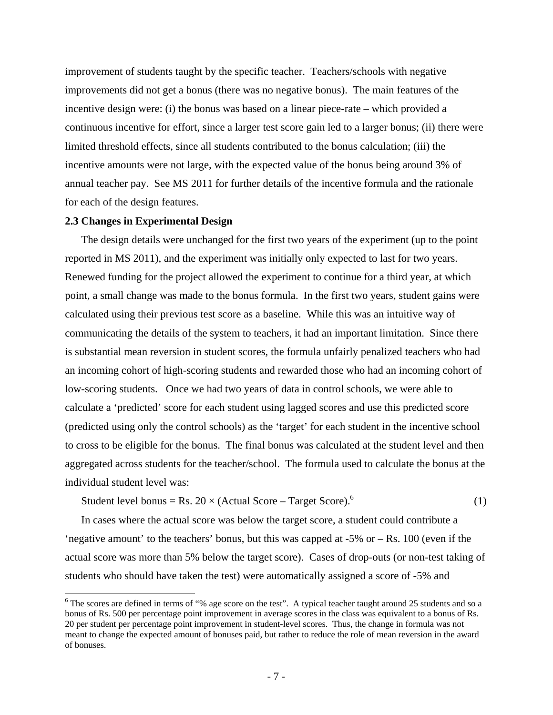improvement of students taught by the specific teacher. Teachers/schools with negative improvements did not get a bonus (there was no negative bonus). The main features of the incentive design were: (i) the bonus was based on a linear piece-rate – which provided a continuous incentive for effort, since a larger test score gain led to a larger bonus; (ii) there were limited threshold effects, since all students contributed to the bonus calculation; (iii) the incentive amounts were not large, with the expected value of the bonus being around 3% of annual teacher pay. See MS 2011 for further details of the incentive formula and the rationale for each of the design features.

### **2.3 Changes in Experimental Design**

 $\overline{a}$ 

The design details were unchanged for the first two years of the experiment (up to the point reported in MS 2011), and the experiment was initially only expected to last for two years. Renewed funding for the project allowed the experiment to continue for a third year, at which point, a small change was made to the bonus formula. In the first two years, student gains were calculated using their previous test score as a baseline. While this was an intuitive way of communicating the details of the system to teachers, it had an important limitation. Since there is substantial mean reversion in student scores, the formula unfairly penalized teachers who had an incoming cohort of high-scoring students and rewarded those who had an incoming cohort of low-scoring students. Once we had two years of data in control schools, we were able to calculate a 'predicted' score for each student using lagged scores and use this predicted score (predicted using only the control schools) as the 'target' for each student in the incentive school to cross to be eligible for the bonus. The final bonus was calculated at the student level and then aggregated across students for the teacher/school. The formula used to calculate the bonus at the individual student level was:

Student level bonus = Rs. 20  $\times$  (Actual Score – Target Score).<sup>6</sup> (1)

In cases where the actual score was below the target score, a student could contribute a 'negative amount' to the teachers' bonus, but this was capped at -5% or – Rs. 100 (even if the actual score was more than 5% below the target score). Cases of drop-outs (or non-test taking of students who should have taken the test) were automatically assigned a score of -5% and

 $6$  The scores are defined in terms of "% age score on the test". A typical teacher taught around 25 students and so a bonus of Rs. 500 per percentage point improvement in average scores in the class was equivalent to a bonus of Rs. 20 per student per percentage point improvement in student-level scores. Thus, the change in formula was not meant to change the expected amount of bonuses paid, but rather to reduce the role of mean reversion in the award of bonuses.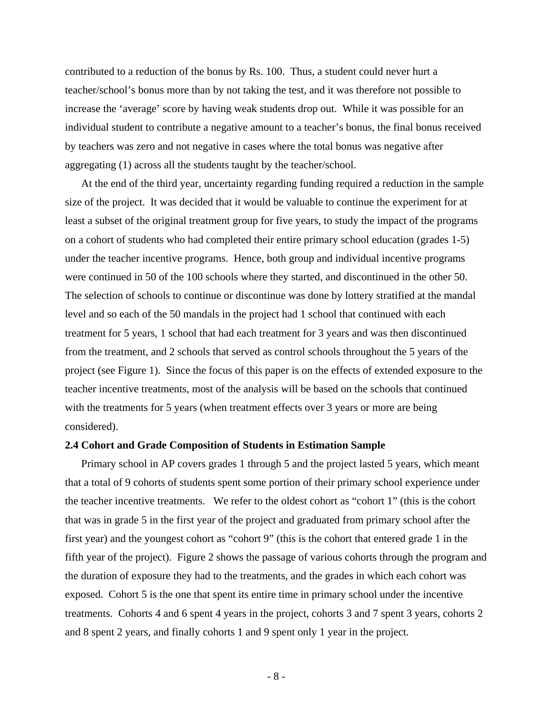contributed to a reduction of the bonus by Rs. 100. Thus, a student could never hurt a teacher/school's bonus more than by not taking the test, and it was therefore not possible to increase the 'average' score by having weak students drop out. While it was possible for an individual student to contribute a negative amount to a teacher's bonus, the final bonus received by teachers was zero and not negative in cases where the total bonus was negative after aggregating (1) across all the students taught by the teacher/school.

At the end of the third year, uncertainty regarding funding required a reduction in the sample size of the project. It was decided that it would be valuable to continue the experiment for at least a subset of the original treatment group for five years, to study the impact of the programs on a cohort of students who had completed their entire primary school education (grades 1-5) under the teacher incentive programs. Hence, both group and individual incentive programs were continued in 50 of the 100 schools where they started, and discontinued in the other 50. The selection of schools to continue or discontinue was done by lottery stratified at the mandal level and so each of the 50 mandals in the project had 1 school that continued with each treatment for 5 years, 1 school that had each treatment for 3 years and was then discontinued from the treatment, and 2 schools that served as control schools throughout the 5 years of the project (see Figure 1). Since the focus of this paper is on the effects of extended exposure to the teacher incentive treatments, most of the analysis will be based on the schools that continued with the treatments for 5 years (when treatment effects over 3 years or more are being considered).

### **2.4 Cohort and Grade Composition of Students in Estimation Sample**

Primary school in AP covers grades 1 through 5 and the project lasted 5 years, which meant that a total of 9 cohorts of students spent some portion of their primary school experience under the teacher incentive treatments. We refer to the oldest cohort as "cohort 1" (this is the cohort that was in grade 5 in the first year of the project and graduated from primary school after the first year) and the youngest cohort as "cohort 9" (this is the cohort that entered grade 1 in the fifth year of the project). Figure 2 shows the passage of various cohorts through the program and the duration of exposure they had to the treatments, and the grades in which each cohort was exposed. Cohort 5 is the one that spent its entire time in primary school under the incentive treatments. Cohorts 4 and 6 spent 4 years in the project, cohorts 3 and 7 spent 3 years, cohorts 2 and 8 spent 2 years, and finally cohorts 1 and 9 spent only 1 year in the project.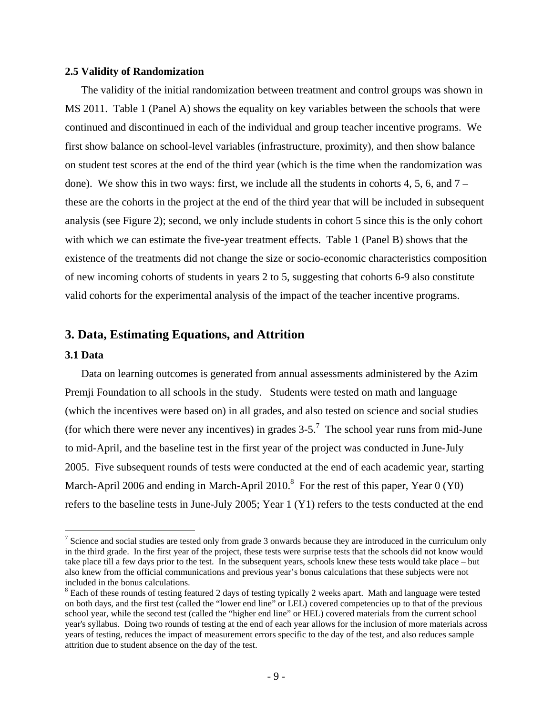### **2.5 Validity of Randomization**

The validity of the initial randomization between treatment and control groups was shown in MS 2011. Table 1 (Panel A) shows the equality on key variables between the schools that were continued and discontinued in each of the individual and group teacher incentive programs. We first show balance on school-level variables (infrastructure, proximity), and then show balance on student test scores at the end of the third year (which is the time when the randomization was done). We show this in two ways: first, we include all the students in cohorts 4, 5, 6, and 7 – these are the cohorts in the project at the end of the third year that will be included in subsequent analysis (see Figure 2); second, we only include students in cohort 5 since this is the only cohort with which we can estimate the five-year treatment effects. Table 1 (Panel B) shows that the existence of the treatments did not change the size or socio-economic characteristics composition of new incoming cohorts of students in years 2 to 5, suggesting that cohorts 6-9 also constitute valid cohorts for the experimental analysis of the impact of the teacher incentive programs.

### **3. Data, Estimating Equations, and Attrition**

### **3.1 Data**

1

Data on learning outcomes is generated from annual assessments administered by the Azim Premji Foundation to all schools in the study. Students were tested on math and language (which the incentives were based on) in all grades, and also tested on science and social studies (for which there were never any incentives) in grades  $3-5$ .<sup>7</sup> The school year runs from mid-June to mid-April, and the baseline test in the first year of the project was conducted in June-July 2005. Five subsequent rounds of tests were conducted at the end of each academic year, starting March-April 2006 and ending in March-April 2010.<sup>8</sup> For the rest of this paper, Year 0 (Y0) refers to the baseline tests in June-July 2005; Year 1 (Y1) refers to the tests conducted at the end

<sup>&</sup>lt;sup>7</sup> Science and social studies are tested only from grade 3 onwards because they are introduced in the curriculum only in the third grade. In the first year of the project, these tests were surprise tests that the schools did not know would take place till a few days prior to the test. In the subsequent years, schools knew these tests would take place – but also knew from the official communications and previous year's bonus calculations that these subjects were not included in the bonus calculations.

 $8$  Each of these rounds of testing featured 2 days of testing typically 2 weeks apart. Math and language were tested on both days, and the first test (called the "lower end line" or LEL) covered competencies up to that of the previous school year, while the second test (called the "higher end line" or HEL) covered materials from the current school year's syllabus. Doing two rounds of testing at the end of each year allows for the inclusion of more materials across years of testing, reduces the impact of measurement errors specific to the day of the test, and also reduces sample attrition due to student absence on the day of the test.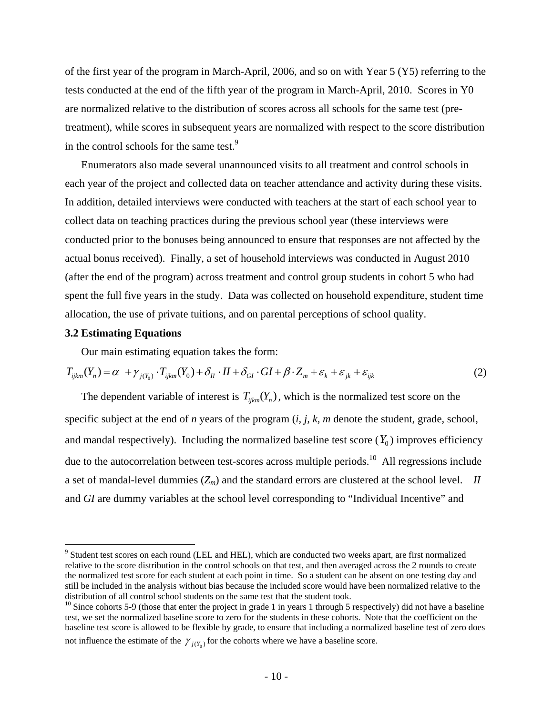of the first year of the program in March-April, 2006, and so on with Year 5 (Y5) referring to the tests conducted at the end of the fifth year of the program in March-April, 2010. Scores in Y0 are normalized relative to the distribution of scores across all schools for the same test (pretreatment), while scores in subsequent years are normalized with respect to the score distribution in the control schools for the same test.<sup>9</sup>

Enumerators also made several unannounced visits to all treatment and control schools in each year of the project and collected data on teacher attendance and activity during these visits. In addition, detailed interviews were conducted with teachers at the start of each school year to collect data on teaching practices during the previous school year (these interviews were conducted prior to the bonuses being announced to ensure that responses are not affected by the actual bonus received). Finally, a set of household interviews was conducted in August 2010 (after the end of the program) across treatment and control group students in cohort 5 who had spent the full five years in the study. Data was collected on household expenditure, student time allocation, the use of private tuitions, and on parental perceptions of school quality.

### **3.2 Estimating Equations**

<u>.</u>

Our main estimating equation takes the form:

$$
T_{ijkm}(Y_n) = \alpha + \gamma_{j(Y_0)} \cdot T_{ijkm}(Y_0) + \delta_{II} \cdot II + \delta_{GI} \cdot GI + \beta \cdot Z_m + \varepsilon_k + \varepsilon_{jk} + \varepsilon_{ijk}
$$
\n(2)

The dependent variable of interest is  $T_{iikm}(Y_n)$ , which is the normalized test score on the specific subject at the end of *n* years of the program (*i, j, k, m* denote the student, grade, school, and mandal respectively). Including the normalized baseline test score  $(Y_0)$  improves efficiency due to the autocorrelation between test-scores across multiple periods.<sup>10</sup> All regressions include a set of mandal-level dummies  $(Z_m)$  and the standard errors are clustered at the school level. *II* and *GI* are dummy variables at the school level corresponding to "Individual Incentive" and

<sup>&</sup>lt;sup>9</sup> Student test scores on each round (LEL and HEL), which are conducted two weeks apart, are first normalized relative to the score distribution in the control schools on that test, and then averaged across the 2 rounds to create the normalized test score for each student at each point in time. So a student can be absent on one testing day and still be included in the analysis without bias because the included score would have been normalized relative to the distribution of all control school students on the same test that the student took.

 $10$  Since cohorts 5-9 (those that enter the project in grade 1 in years 1 through 5 respectively) did not have a baseline test, we set the normalized baseline score to zero for the students in these cohorts. Note that the coefficient on the baseline test score is allowed to be flexible by grade, to ensure that including a normalized baseline test of zero does not influence the estimate of the  $\gamma_{j(Y_0)}$  for the cohorts where we have a baseline score.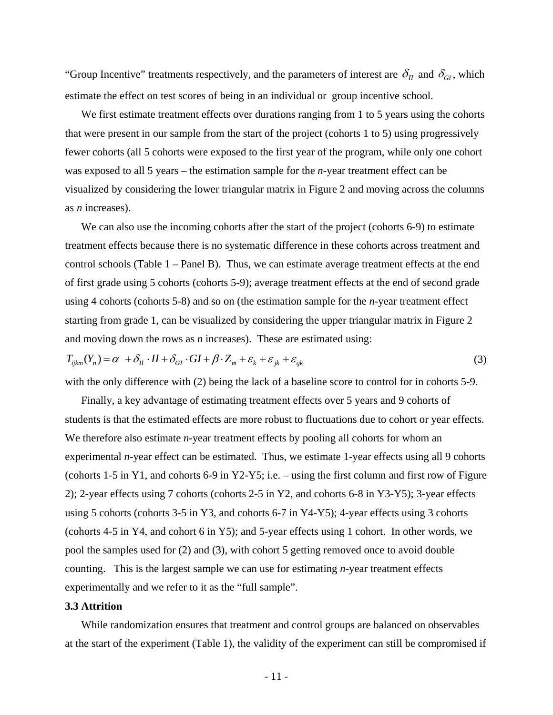"Group Incentive" treatments respectively, and the parameters of interest are  $\delta_{II}$  and  $\delta_{GI}$ , which estimate the effect on test scores of being in an individual or group incentive school.

We first estimate treatment effects over durations ranging from 1 to 5 years using the cohorts that were present in our sample from the start of the project (cohorts 1 to 5) using progressively fewer cohorts (all 5 cohorts were exposed to the first year of the program, while only one cohort was exposed to all 5 years – the estimation sample for the *n*-year treatment effect can be visualized by considering the lower triangular matrix in Figure 2 and moving across the columns as *n* increases).

We can also use the incoming cohorts after the start of the project (cohorts 6-9) to estimate treatment effects because there is no systematic difference in these cohorts across treatment and control schools (Table 1 – Panel B). Thus, we can estimate average treatment effects at the end of first grade using 5 cohorts (cohorts 5-9); average treatment effects at the end of second grade using 4 cohorts (cohorts 5-8) and so on (the estimation sample for the *n*-year treatment effect starting from grade 1, can be visualized by considering the upper triangular matrix in Figure 2 and moving down the rows as *n* increases). These are estimated using:

$$
T_{ijklm}(Y_n) = \alpha + \delta_{II} \cdot II + \delta_{GI} \cdot GI + \beta \cdot Z_m + \varepsilon_k + \varepsilon_{jk} + \varepsilon_{ijk}
$$
\n(3)

with the only difference with (2) being the lack of a baseline score to control for in cohorts 5-9.

Finally, a key advantage of estimating treatment effects over 5 years and 9 cohorts of students is that the estimated effects are more robust to fluctuations due to cohort or year effects. We therefore also estimate *n*-year treatment effects by pooling all cohorts for whom an experimental *n*-year effect can be estimated. Thus, we estimate 1-year effects using all 9 cohorts (cohorts 1-5 in Y1, and cohorts 6-9 in Y2-Y5; i.e. – using the first column and first row of Figure 2); 2-year effects using 7 cohorts (cohorts 2-5 in Y2, and cohorts 6-8 in Y3-Y5); 3-year effects using 5 cohorts (cohorts 3-5 in Y3, and cohorts 6-7 in Y4-Y5); 4-year effects using 3 cohorts (cohorts 4-5 in Y4, and cohort 6 in Y5); and 5-year effects using 1 cohort. In other words, we pool the samples used for (2) and (3), with cohort 5 getting removed once to avoid double counting. This is the largest sample we can use for estimating *n*-year treatment effects experimentally and we refer to it as the "full sample".

### **3.3 Attrition**

While randomization ensures that treatment and control groups are balanced on observables at the start of the experiment (Table 1), the validity of the experiment can still be compromised if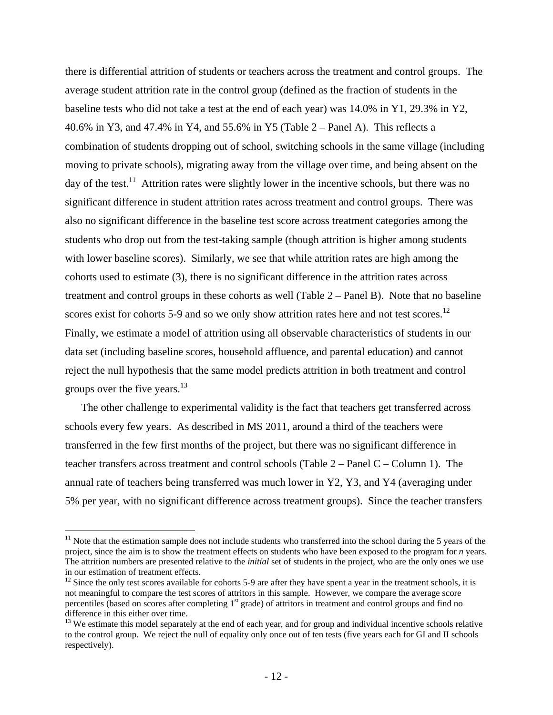there is differential attrition of students or teachers across the treatment and control groups. The average student attrition rate in the control group (defined as the fraction of students in the baseline tests who did not take a test at the end of each year) was 14.0% in Y1, 29.3% in Y2, 40.6% in Y3, and 47.4% in Y4, and 55.6% in Y5 (Table 2 – Panel A). This reflects a combination of students dropping out of school, switching schools in the same village (including moving to private schools), migrating away from the village over time, and being absent on the day of the test.<sup>11</sup> Attrition rates were slightly lower in the incentive schools, but there was no significant difference in student attrition rates across treatment and control groups. There was also no significant difference in the baseline test score across treatment categories among the students who drop out from the test-taking sample (though attrition is higher among students with lower baseline scores). Similarly, we see that while attrition rates are high among the cohorts used to estimate (3), there is no significant difference in the attrition rates across treatment and control groups in these cohorts as well (Table 2 – Panel B). Note that no baseline scores exist for cohorts 5-9 and so we only show attrition rates here and not test scores.<sup>12</sup> Finally, we estimate a model of attrition using all observable characteristics of students in our data set (including baseline scores, household affluence, and parental education) and cannot reject the null hypothesis that the same model predicts attrition in both treatment and control groups over the five years. $13$ 

The other challenge to experimental validity is the fact that teachers get transferred across schools every few years. As described in MS 2011, around a third of the teachers were transferred in the few first months of the project, but there was no significant difference in teacher transfers across treatment and control schools (Table 2 – Panel C – Column 1). The annual rate of teachers being transferred was much lower in Y2, Y3, and Y4 (averaging under 5% per year, with no significant difference across treatment groups). Since the teacher transfers

 $\overline{a}$ 

 $11$  Note that the estimation sample does not include students who transferred into the school during the 5 years of the project, since the aim is to show the treatment effects on students who have been exposed to the program for *n* years. The attrition numbers are presented relative to the *initial* set of students in the project, who are the only ones we use in our estimation of treatment effects.

 $12$  Since the only test scores available for cohorts 5-9 are after they have spent a year in the treatment schools, it is not meaningful to compare the test scores of attritors in this sample. However, we compare the average score percentiles (based on scores after completing 1<sup>st</sup> grade) of attritors in treatment and control groups and find no difference in this either over time.

 $13$  We estimate this model separately at the end of each year, and for group and individual incentive schools relative to the control group. We reject the null of equality only once out of ten tests (five years each for GI and II schools respectively).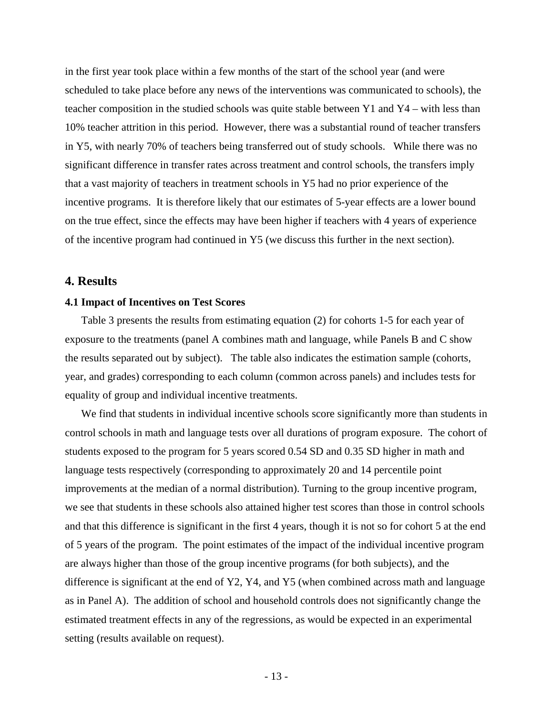in the first year took place within a few months of the start of the school year (and were scheduled to take place before any news of the interventions was communicated to schools), the teacher composition in the studied schools was quite stable between Y1 and Y4 – with less than 10% teacher attrition in this period. However, there was a substantial round of teacher transfers in Y5, with nearly 70% of teachers being transferred out of study schools. While there was no significant difference in transfer rates across treatment and control schools, the transfers imply that a vast majority of teachers in treatment schools in Y5 had no prior experience of the incentive programs. It is therefore likely that our estimates of 5-year effects are a lower bound on the true effect, since the effects may have been higher if teachers with 4 years of experience of the incentive program had continued in Y5 (we discuss this further in the next section).

### **4. Results**

### **4.1 Impact of Incentives on Test Scores**

Table 3 presents the results from estimating equation (2) for cohorts 1-5 for each year of exposure to the treatments (panel A combines math and language, while Panels B and C show the results separated out by subject). The table also indicates the estimation sample (cohorts, year, and grades) corresponding to each column (common across panels) and includes tests for equality of group and individual incentive treatments.

We find that students in individual incentive schools score significantly more than students in control schools in math and language tests over all durations of program exposure. The cohort of students exposed to the program for 5 years scored 0.54 SD and 0.35 SD higher in math and language tests respectively (corresponding to approximately 20 and 14 percentile point improvements at the median of a normal distribution). Turning to the group incentive program, we see that students in these schools also attained higher test scores than those in control schools and that this difference is significant in the first 4 years, though it is not so for cohort 5 at the end of 5 years of the program. The point estimates of the impact of the individual incentive program are always higher than those of the group incentive programs (for both subjects), and the difference is significant at the end of Y2, Y4, and Y5 (when combined across math and language as in Panel A). The addition of school and household controls does not significantly change the estimated treatment effects in any of the regressions, as would be expected in an experimental setting (results available on request).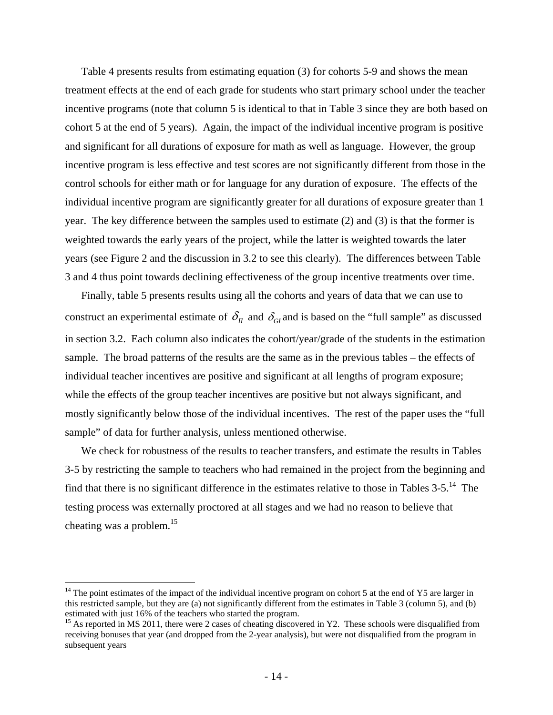Table 4 presents results from estimating equation (3) for cohorts 5-9 and shows the mean treatment effects at the end of each grade for students who start primary school under the teacher incentive programs (note that column 5 is identical to that in Table 3 since they are both based on cohort 5 at the end of 5 years). Again, the impact of the individual incentive program is positive and significant for all durations of exposure for math as well as language. However, the group incentive program is less effective and test scores are not significantly different from those in the control schools for either math or for language for any duration of exposure. The effects of the individual incentive program are significantly greater for all durations of exposure greater than 1 year. The key difference between the samples used to estimate (2) and (3) is that the former is weighted towards the early years of the project, while the latter is weighted towards the later years (see Figure 2 and the discussion in 3.2 to see this clearly). The differences between Table 3 and 4 thus point towards declining effectiveness of the group incentive treatments over time.

Finally, table 5 presents results using all the cohorts and years of data that we can use to construct an experimental estimate of  $\delta_{II}$  and  $\delta_{GI}$  and is based on the "full sample" as discussed in section 3.2. Each column also indicates the cohort/year/grade of the students in the estimation sample. The broad patterns of the results are the same as in the previous tables – the effects of individual teacher incentives are positive and significant at all lengths of program exposure; while the effects of the group teacher incentives are positive but not always significant, and mostly significantly below those of the individual incentives. The rest of the paper uses the "full sample" of data for further analysis, unless mentioned otherwise.

We check for robustness of the results to teacher transfers, and estimate the results in Tables 3-5 by restricting the sample to teachers who had remained in the project from the beginning and find that there is no significant difference in the estimates relative to those in Tables  $3-5$ .<sup>14</sup> The testing process was externally proctored at all stages and we had no reason to believe that cheating was a problem.<sup>15</sup>

 $\overline{a}$ 

 $14$  The point estimates of the impact of the individual incentive program on cohort 5 at the end of Y5 are larger in this restricted sample, but they are (a) not significantly different from the estimates in Table 3 (column 5), and (b) estimated with just 16% of the teachers who started the program.

<sup>&</sup>lt;sup>15</sup> As reported in MS 2011, there were 2 cases of cheating discovered in Y2. These schools were disqualified from receiving bonuses that year (and dropped from the 2-year analysis), but were not disqualified from the program in subsequent years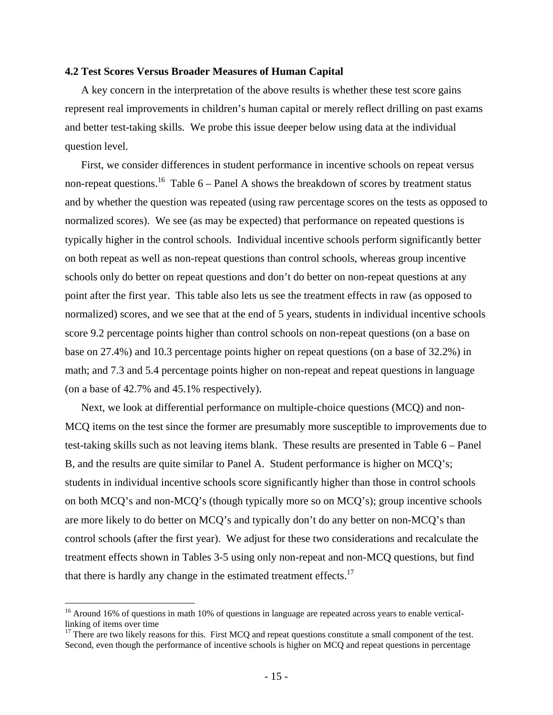### **4.2 Test Scores Versus Broader Measures of Human Capital**

A key concern in the interpretation of the above results is whether these test score gains represent real improvements in children's human capital or merely reflect drilling on past exams and better test-taking skills. We probe this issue deeper below using data at the individual question level.

First, we consider differences in student performance in incentive schools on repeat versus non-repeat questions.<sup>16</sup> Table 6 – Panel A shows the breakdown of scores by treatment status and by whether the question was repeated (using raw percentage scores on the tests as opposed to normalized scores). We see (as may be expected) that performance on repeated questions is typically higher in the control schools. Individual incentive schools perform significantly better on both repeat as well as non-repeat questions than control schools, whereas group incentive schools only do better on repeat questions and don't do better on non-repeat questions at any point after the first year. This table also lets us see the treatment effects in raw (as opposed to normalized) scores, and we see that at the end of 5 years, students in individual incentive schools score 9.2 percentage points higher than control schools on non-repeat questions (on a base on base on 27.4%) and 10.3 percentage points higher on repeat questions (on a base of 32.2%) in math; and 7.3 and 5.4 percentage points higher on non-repeat and repeat questions in language (on a base of 42.7% and 45.1% respectively).

Next, we look at differential performance on multiple-choice questions (MCQ) and non-MCQ items on the test since the former are presumably more susceptible to improvements due to test-taking skills such as not leaving items blank. These results are presented in Table 6 – Panel B, and the results are quite similar to Panel A. Student performance is higher on MCQ's; students in individual incentive schools score significantly higher than those in control schools on both MCQ's and non-MCQ's (though typically more so on MCQ's); group incentive schools are more likely to do better on MCQ's and typically don't do any better on non-MCQ's than control schools (after the first year). We adjust for these two considerations and recalculate the treatment effects shown in Tables 3-5 using only non-repeat and non-MCQ questions, but find that there is hardly any change in the estimated treatment effects.<sup>17</sup>

 $\overline{a}$ 

<sup>&</sup>lt;sup>16</sup> Around 16% of questions in math 10% of questions in language are repeated across years to enable verticallinking of items over time

<sup>&</sup>lt;sup>17</sup> There are two likely reasons for this. First MCQ and repeat questions constitute a small component of the test. Second, even though the performance of incentive schools is higher on MCQ and repeat questions in percentage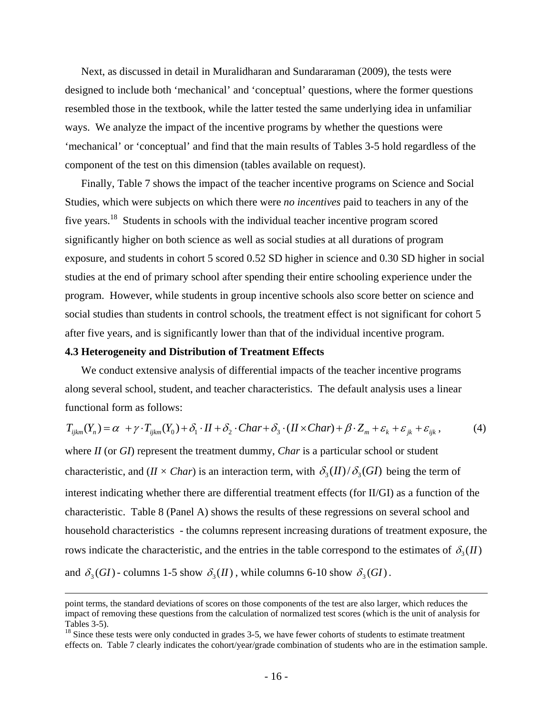Next, as discussed in detail in Muralidharan and Sundararaman (2009), the tests were designed to include both 'mechanical' and 'conceptual' questions, where the former questions resembled those in the textbook, while the latter tested the same underlying idea in unfamiliar ways. We analyze the impact of the incentive programs by whether the questions were 'mechanical' or 'conceptual' and find that the main results of Tables 3-5 hold regardless of the component of the test on this dimension (tables available on request).

Finally, Table 7 shows the impact of the teacher incentive programs on Science and Social Studies, which were subjects on which there were *no incentives* paid to teachers in any of the five years.18 Students in schools with the individual teacher incentive program scored significantly higher on both science as well as social studies at all durations of program exposure, and students in cohort 5 scored 0.52 SD higher in science and 0.30 SD higher in social studies at the end of primary school after spending their entire schooling experience under the program. However, while students in group incentive schools also score better on science and social studies than students in control schools, the treatment effect is not significant for cohort 5 after five years, and is significantly lower than that of the individual incentive program.

### **4.3 Heterogeneity and Distribution of Treatment Effects**

We conduct extensive analysis of differential impacts of the teacher incentive programs along several school, student, and teacher characteristics. The default analysis uses a linear functional form as follows:

$$
T_{ijklm}(Y_n) = \alpha + \gamma \cdot T_{ijkm}(Y_0) + \delta_1 \cdot II + \delta_2 \cdot Char + \delta_3 \cdot (II \times Char) + \beta \cdot Z_m + \varepsilon_k + \varepsilon_{jk} + \varepsilon_{ijk},\tag{4}
$$

where *II* (or *GI*) represent the treatment dummy, *Char* is a particular school or student characteristic, and  $(II \times Char)$  is an interaction term, with  $\delta_3(II) / \delta_3(GI)$  being the term of interest indicating whether there are differential treatment effects (for II/GI) as a function of the characteristic. Table 8 (Panel A) shows the results of these regressions on several school and household characteristics - the columns represent increasing durations of treatment exposure, the rows indicate the characteristic, and the entries in the table correspond to the estimates of  $\delta_3$  (*II*) and  $\delta_3(GI)$  - columns 1-5 show  $\delta_3(II)$ , while columns 6-10 show  $\delta_3(GI)$ .

point terms, the standard deviations of scores on those components of the test are also larger, which reduces the impact of removing these questions from the calculation of normalized test scores (which is the unit of analysis for Tables 3-5).

<sup>&</sup>lt;sup>18</sup> Since these tests were only conducted in grades 3-5, we have fewer cohorts of students to estimate treatment effects on. Table 7 clearly indicates the cohort/year/grade combination of students who are in the estimation sample.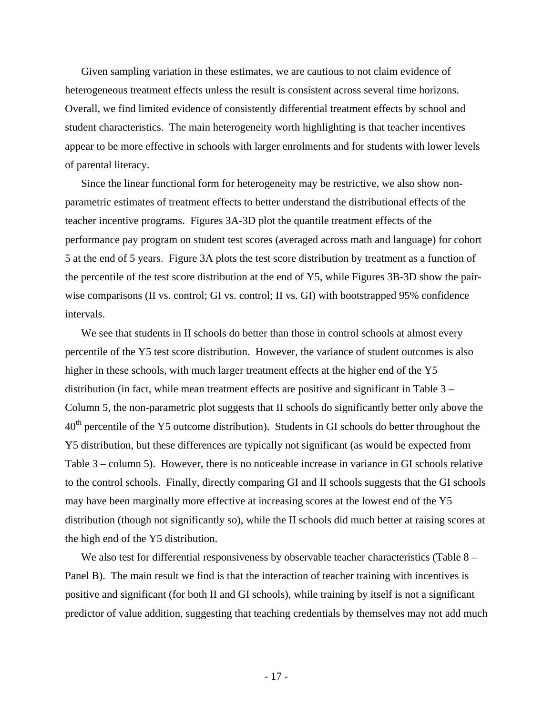Given sampling variation in these estimates, we are cautious to not claim evidence of heterogeneous treatment effects unless the result is consistent across several time horizons. Overall, we find limited evidence of consistently differential treatment effects by school and student characteristics. The main heterogeneity worth highlighting is that teacher incentives appear to be more effective in schools with larger enrolments and for students with lower levels of parental literacy.

Since the linear functional form for heterogeneity may be restrictive, we also show nonparametric estimates of treatment effects to better understand the distributional effects of the teacher incentive programs. Figures 3A-3D plot the quantile treatment effects of the performance pay program on student test scores (averaged across math and language) for cohort 5 at the end of 5 years. Figure 3A plots the test score distribution by treatment as a function of the percentile of the test score distribution at the end of Y5, while Figures 3B-3D show the pairwise comparisons (II vs. control; GI vs. control; II vs. GI) with bootstrapped 95% confidence intervals.

We see that students in II schools do better than those in control schools at almost every percentile of the Y5 test score distribution. However, the variance of student outcomes is also higher in these schools, with much larger treatment effects at the higher end of the Y5 distribution (in fact, while mean treatment effects are positive and significant in Table 3 – Column 5, the non-parametric plot suggests that II schools do significantly better only above the  $40<sup>th</sup>$  percentile of the Y5 outcome distribution). Students in GI schools do better throughout the Y5 distribution, but these differences are typically not significant (as would be expected from Table 3 – column 5). However, there is no noticeable increase in variance in GI schools relative to the control schools. Finally, directly comparing GI and II schools suggests that the GI schools may have been marginally more effective at increasing scores at the lowest end of the Y5 distribution (though not significantly so), while the II schools did much better at raising scores at the high end of the Y5 distribution.

We also test for differential responsiveness by observable teacher characteristics (Table 8 – Panel B). The main result we find is that the interaction of teacher training with incentives is positive and significant (for both II and GI schools), while training by itself is not a significant predictor of value addition, suggesting that teaching credentials by themselves may not add much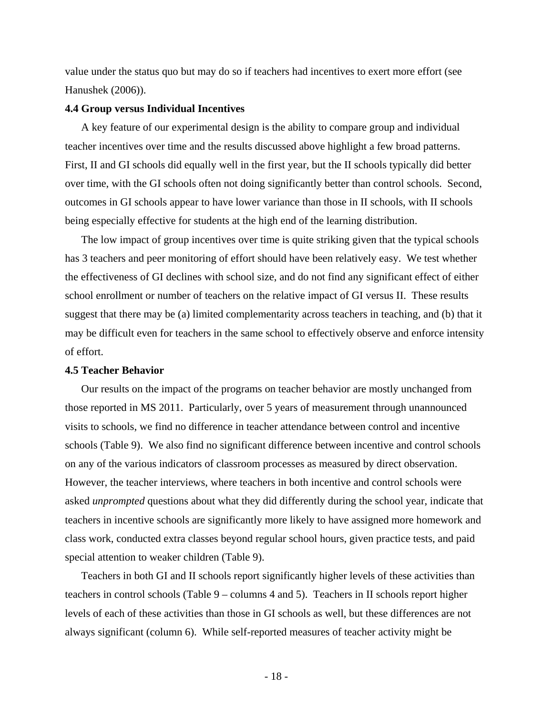value under the status quo but may do so if teachers had incentives to exert more effort (see Hanushek (2006)).

### **4.4 Group versus Individual Incentives**

A key feature of our experimental design is the ability to compare group and individual teacher incentives over time and the results discussed above highlight a few broad patterns. First, II and GI schools did equally well in the first year, but the II schools typically did better over time, with the GI schools often not doing significantly better than control schools. Second, outcomes in GI schools appear to have lower variance than those in II schools, with II schools being especially effective for students at the high end of the learning distribution.

The low impact of group incentives over time is quite striking given that the typical schools has 3 teachers and peer monitoring of effort should have been relatively easy. We test whether the effectiveness of GI declines with school size, and do not find any significant effect of either school enrollment or number of teachers on the relative impact of GI versus II. These results suggest that there may be (a) limited complementarity across teachers in teaching, and (b) that it may be difficult even for teachers in the same school to effectively observe and enforce intensity of effort.

### **4.5 Teacher Behavior**

Our results on the impact of the programs on teacher behavior are mostly unchanged from those reported in MS 2011. Particularly, over 5 years of measurement through unannounced visits to schools, we find no difference in teacher attendance between control and incentive schools (Table 9). We also find no significant difference between incentive and control schools on any of the various indicators of classroom processes as measured by direct observation. However, the teacher interviews, where teachers in both incentive and control schools were asked *unprompted* questions about what they did differently during the school year, indicate that teachers in incentive schools are significantly more likely to have assigned more homework and class work, conducted extra classes beyond regular school hours, given practice tests, and paid special attention to weaker children (Table 9).

Teachers in both GI and II schools report significantly higher levels of these activities than teachers in control schools (Table 9 – columns 4 and 5). Teachers in II schools report higher levels of each of these activities than those in GI schools as well, but these differences are not always significant (column 6). While self-reported measures of teacher activity might be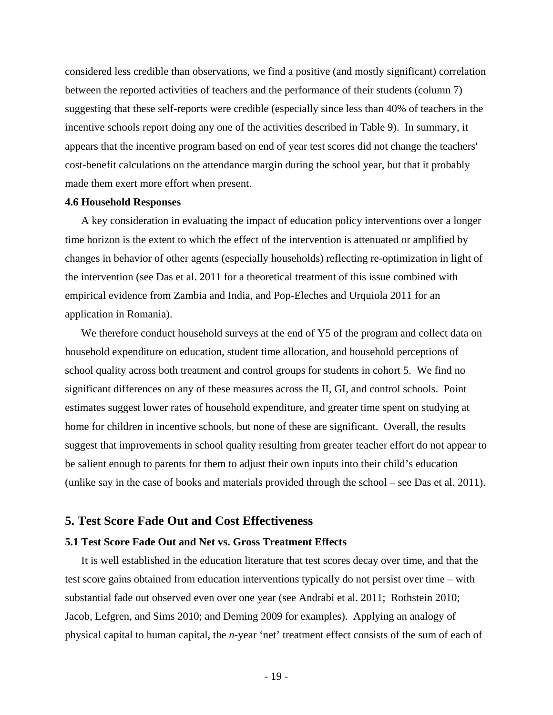considered less credible than observations, we find a positive (and mostly significant) correlation between the reported activities of teachers and the performance of their students (column 7) suggesting that these self-reports were credible (especially since less than 40% of teachers in the incentive schools report doing any one of the activities described in Table 9). In summary, it appears that the incentive program based on end of year test scores did not change the teachers' cost-benefit calculations on the attendance margin during the school year, but that it probably made them exert more effort when present.

### **4.6 Household Responses**

A key consideration in evaluating the impact of education policy interventions over a longer time horizon is the extent to which the effect of the intervention is attenuated or amplified by changes in behavior of other agents (especially households) reflecting re-optimization in light of the intervention (see Das et al. 2011 for a theoretical treatment of this issue combined with empirical evidence from Zambia and India, and Pop-Eleches and Urquiola 2011 for an application in Romania).

We therefore conduct household surveys at the end of Y5 of the program and collect data on household expenditure on education, student time allocation, and household perceptions of school quality across both treatment and control groups for students in cohort 5. We find no significant differences on any of these measures across the II, GI, and control schools. Point estimates suggest lower rates of household expenditure, and greater time spent on studying at home for children in incentive schools, but none of these are significant. Overall, the results suggest that improvements in school quality resulting from greater teacher effort do not appear to be salient enough to parents for them to adjust their own inputs into their child's education (unlike say in the case of books and materials provided through the school – see Das et al. 2011).

### **5. Test Score Fade Out and Cost Effectiveness**

### **5.1 Test Score Fade Out and Net vs. Gross Treatment Effects**

It is well established in the education literature that test scores decay over time, and that the test score gains obtained from education interventions typically do not persist over time – with substantial fade out observed even over one year (see Andrabi et al. 2011; Rothstein 2010; Jacob, Lefgren, and Sims 2010; and Deming 2009 for examples). Applying an analogy of physical capital to human capital, the *n*-year 'net' treatment effect consists of the sum of each of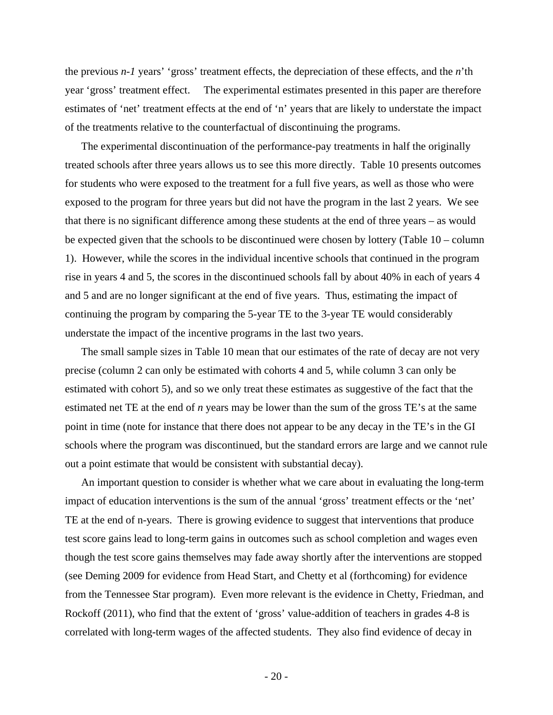the previous *n-1* years' 'gross' treatment effects, the depreciation of these effects, and the *n*'th year 'gross' treatment effect. The experimental estimates presented in this paper are therefore estimates of 'net' treatment effects at the end of 'n' years that are likely to understate the impact of the treatments relative to the counterfactual of discontinuing the programs.

The experimental discontinuation of the performance-pay treatments in half the originally treated schools after three years allows us to see this more directly. Table 10 presents outcomes for students who were exposed to the treatment for a full five years, as well as those who were exposed to the program for three years but did not have the program in the last 2 years. We see that there is no significant difference among these students at the end of three years – as would be expected given that the schools to be discontinued were chosen by lottery (Table 10 – column 1). However, while the scores in the individual incentive schools that continued in the program rise in years 4 and 5, the scores in the discontinued schools fall by about 40% in each of years 4 and 5 and are no longer significant at the end of five years. Thus, estimating the impact of continuing the program by comparing the 5-year TE to the 3-year TE would considerably understate the impact of the incentive programs in the last two years.

The small sample sizes in Table 10 mean that our estimates of the rate of decay are not very precise (column 2 can only be estimated with cohorts 4 and 5, while column 3 can only be estimated with cohort 5), and so we only treat these estimates as suggestive of the fact that the estimated net TE at the end of *n* years may be lower than the sum of the gross TE's at the same point in time (note for instance that there does not appear to be any decay in the TE's in the GI schools where the program was discontinued, but the standard errors are large and we cannot rule out a point estimate that would be consistent with substantial decay).

An important question to consider is whether what we care about in evaluating the long-term impact of education interventions is the sum of the annual 'gross' treatment effects or the 'net' TE at the end of n-years. There is growing evidence to suggest that interventions that produce test score gains lead to long-term gains in outcomes such as school completion and wages even though the test score gains themselves may fade away shortly after the interventions are stopped (see Deming 2009 for evidence from Head Start, and Chetty et al (forthcoming) for evidence from the Tennessee Star program). Even more relevant is the evidence in Chetty, Friedman, and Rockoff (2011), who find that the extent of 'gross' value-addition of teachers in grades 4-8 is correlated with long-term wages of the affected students. They also find evidence of decay in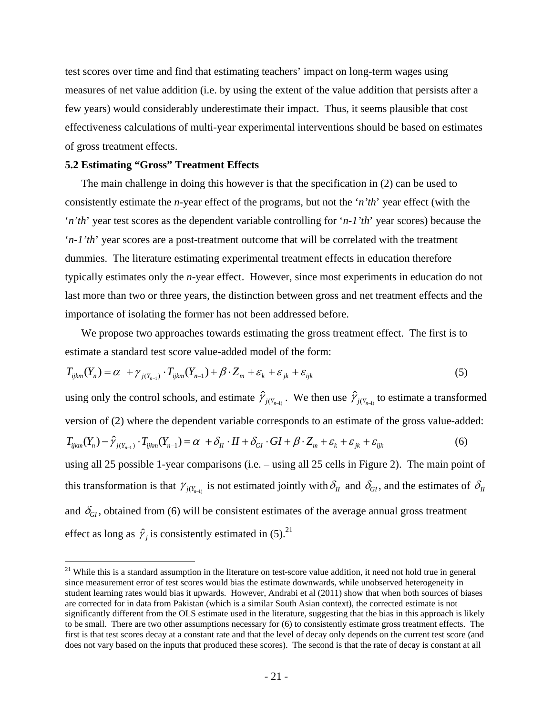test scores over time and find that estimating teachers' impact on long-term wages using measures of net value addition (i.e. by using the extent of the value addition that persists after a few years) would considerably underestimate their impact. Thus, it seems plausible that cost effectiveness calculations of multi-year experimental interventions should be based on estimates of gross treatment effects.

### **5.2 Estimating "Gross" Treatment Effects**

 $\overline{a}$ 

The main challenge in doing this however is that the specification in (2) can be used to consistently estimate the *n*-year effect of the programs, but not the '*n'th*' year effect (with the '*n'th*' year test scores as the dependent variable controlling for '*n-1'th*' year scores) because the '*n-1'th*' year scores are a post-treatment outcome that will be correlated with the treatment dummies. The literature estimating experimental treatment effects in education therefore typically estimates only the *n*-year effect. However, since most experiments in education do not last more than two or three years, the distinction between gross and net treatment effects and the importance of isolating the former has not been addressed before.

We propose two approaches towards estimating the gross treatment effect. The first is to estimate a standard test score value-added model of the form:

$$
T_{ijkm}(Y_n) = \alpha + \gamma_{j(Y_{n-1})} \cdot T_{ijkm}(Y_{n-1}) + \beta \cdot Z_m + \varepsilon_k + \varepsilon_{jk} + \varepsilon_{ijk}
$$
\n
$$
\tag{5}
$$

using only the control schools, and estimate  $\hat{\gamma}_{j(Y_{n-1})}$ . We then use  $\hat{\gamma}_{j(Y_{n-1})}$  to estimate a transformed version of (2) where the dependent variable corresponds to an estimate of the gross value-added:  $T_{iikm}(Y_n) - \hat{\gamma}_{i(Y_{n-1})} \cdot T_{iikm}(Y_{n-1}) = \alpha + \delta_{II} \cdot II + \delta_{GI} \cdot GI + \beta \cdot Z_m + \varepsilon_k + \varepsilon_{ik} + \varepsilon_{ijk}$  (6) using all 25 possible 1-year comparisons (i.e. – using all 25 cells in Figure 2). The main point of this transformation is that  $\gamma_{i(X_n)}$  is not estimated jointly with  $\delta_{II}$  and  $\delta_{GI}$ , and the estimates of  $\delta_{II}$ and  $\delta_{\scriptscriptstyle{GI}}$ , obtained from (6) will be consistent estimates of the average annual gross treatment effect as long as  $\hat{\gamma}_i$  is consistently estimated in (5).<sup>21</sup>

 $21$  While this is a standard assumption in the literature on test-score value addition, it need not hold true in general since measurement error of test scores would bias the estimate downwards, while unobserved heterogeneity in student learning rates would bias it upwards. However, Andrabi et al (2011) show that when both sources of biases are corrected for in data from Pakistan (which is a similar South Asian context), the corrected estimate is not significantly different from the OLS estimate used in the literature, suggesting that the bias in this approach is likely to be small. There are two other assumptions necessary for (6) to consistently estimate gross treatment effects. The first is that test scores decay at a constant rate and that the level of decay only depends on the current test score (and does not vary based on the inputs that produced these scores). The second is that the rate of decay is constant at all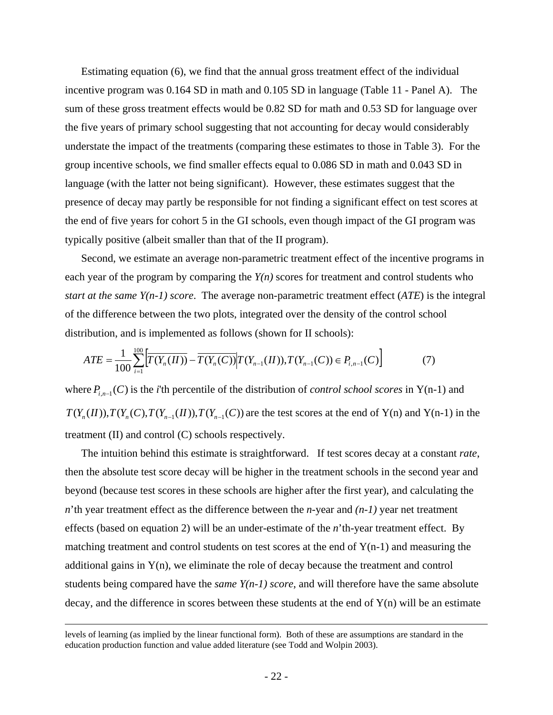Estimating equation (6), we find that the annual gross treatment effect of the individual incentive program was 0.164 SD in math and 0.105 SD in language (Table 11 - Panel A). The sum of these gross treatment effects would be 0.82 SD for math and 0.53 SD for language over the five years of primary school suggesting that not accounting for decay would considerably understate the impact of the treatments (comparing these estimates to those in Table 3). For the group incentive schools, we find smaller effects equal to 0.086 SD in math and 0.043 SD in language (with the latter not being significant). However, these estimates suggest that the presence of decay may partly be responsible for not finding a significant effect on test scores at the end of five years for cohort 5 in the GI schools, even though impact of the GI program was typically positive (albeit smaller than that of the II program).

Second, we estimate an average non-parametric treatment effect of the incentive programs in each year of the program by comparing the *Y(n)* scores for treatment and control students who *start at the same Y(n-1) score*. The average non-parametric treatment effect (*ATE*) is the integral of the difference between the two plots, integrated over the density of the control school distribution, and is implemented as follows (shown for II schools):

$$
ATE = \frac{1}{100} \sum_{i=1}^{100} \left[ \overline{T(Y_n(\Pi))} - \overline{T(Y_n(\Pi))} \middle| T(Y_{n-1}(\Pi)), T(Y_{n-1}(\Pi)) \in P_{i,n-1}(\Pi) \right] \tag{7}
$$

where  $P_{i,n-1}(C)$  is the *i*'th percentile of the distribution of *control school scores* in Y(n-1) and  $T(Y_n(I), T(Y_n(C), T(Y_{n-1}(II)), T(Y_{n-1}(C))$  are the test scores at the end of Y(n) and Y(n-1) in the treatment (II) and control (C) schools respectively.

The intuition behind this estimate is straightforward. If test scores decay at a constant *rate*, then the absolute test score decay will be higher in the treatment schools in the second year and beyond (because test scores in these schools are higher after the first year), and calculating the *n*'th year treatment effect as the difference between the *n*-year and *(n-1)* year net treatment effects (based on equation 2) will be an under-estimate of the *n*'th-year treatment effect. By matching treatment and control students on test scores at the end of  $Y(n-1)$  and measuring the additional gains in Y(n), we eliminate the role of decay because the treatment and control students being compared have the *same*  $Y(n-1)$  *score*, and will therefore have the same absolute decay, and the difference in scores between these students at the end of  $Y(n)$  will be an estimate

levels of learning (as implied by the linear functional form). Both of these are assumptions are standard in the education production function and value added literature (see Todd and Wolpin 2003).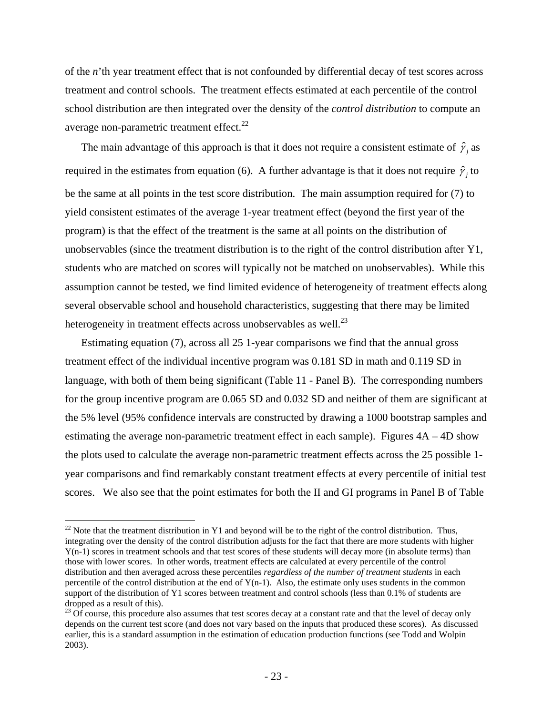of the *n*'th year treatment effect that is not confounded by differential decay of test scores across treatment and control schools. The treatment effects estimated at each percentile of the control school distribution are then integrated over the density of the *control distribution* to compute an average non-parametric treatment effect. $^{22}$ 

The main advantage of this approach is that it does not require a consistent estimate of  $\hat{\gamma}_i$  as required in the estimates from equation (6). A further advantage is that it does not require  $\hat{\gamma}_i$  to be the same at all points in the test score distribution. The main assumption required for (7) to yield consistent estimates of the average 1-year treatment effect (beyond the first year of the program) is that the effect of the treatment is the same at all points on the distribution of unobservables (since the treatment distribution is to the right of the control distribution after Y1, students who are matched on scores will typically not be matched on unobservables). While this assumption cannot be tested, we find limited evidence of heterogeneity of treatment effects along several observable school and household characteristics, suggesting that there may be limited heterogeneity in treatment effects across unobservables as well.<sup>23</sup>

Estimating equation (7), across all 25 1-year comparisons we find that the annual gross treatment effect of the individual incentive program was 0.181 SD in math and 0.119 SD in language, with both of them being significant (Table 11 - Panel B). The corresponding numbers for the group incentive program are 0.065 SD and 0.032 SD and neither of them are significant at the 5% level (95% confidence intervals are constructed by drawing a 1000 bootstrap samples and estimating the average non-parametric treatment effect in each sample). Figures 4A – 4D show the plots used to calculate the average non-parametric treatment effects across the 25 possible 1 year comparisons and find remarkably constant treatment effects at every percentile of initial test scores. We also see that the point estimates for both the II and GI programs in Panel B of Table

 $\overline{a}$ 

 $22$  Note that the treatment distribution in Y1 and beyond will be to the right of the control distribution. Thus, integrating over the density of the control distribution adjusts for the fact that there are more students with higher Y(n-1) scores in treatment schools and that test scores of these students will decay more (in absolute terms) than those with lower scores. In other words, treatment effects are calculated at every percentile of the control distribution and then averaged across these percentiles *regardless of the number of treatment students* in each percentile of the control distribution at the end of  $Y(n-1)$ . Also, the estimate only uses students in the common support of the distribution of Y1 scores between treatment and control schools (less than 0.1% of students are dropped as a result of this).

 $^{23}$  Of course, this procedure also assumes that test scores decay at a constant rate and that the level of decay only depends on the current test score (and does not vary based on the inputs that produced these scores). As discussed earlier, this is a standard assumption in the estimation of education production functions (see Todd and Wolpin 2003).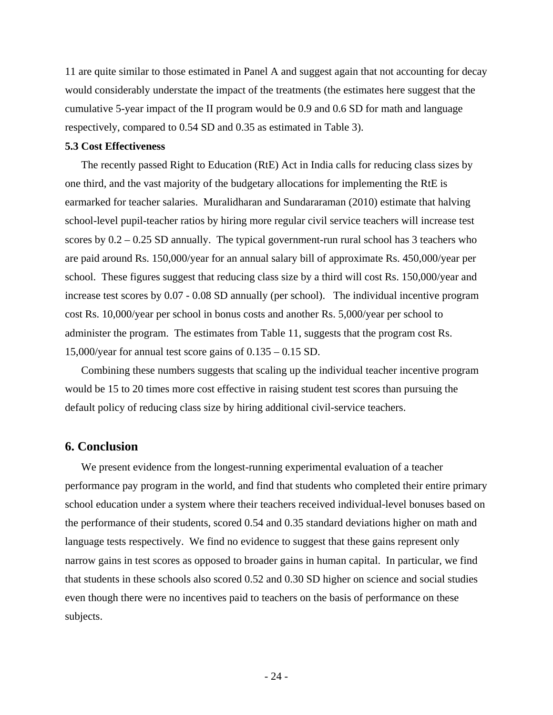11 are quite similar to those estimated in Panel A and suggest again that not accounting for decay would considerably understate the impact of the treatments (the estimates here suggest that the cumulative 5-year impact of the II program would be 0.9 and 0.6 SD for math and language respectively, compared to 0.54 SD and 0.35 as estimated in Table 3).

### **5.3 Cost Effectiveness**

The recently passed Right to Education (RtE) Act in India calls for reducing class sizes by one third, and the vast majority of the budgetary allocations for implementing the RtE is earmarked for teacher salaries. Muralidharan and Sundararaman (2010) estimate that halving school-level pupil-teacher ratios by hiring more regular civil service teachers will increase test scores by 0.2 – 0.25 SD annually. The typical government-run rural school has 3 teachers who are paid around Rs. 150,000/year for an annual salary bill of approximate Rs. 450,000/year per school. These figures suggest that reducing class size by a third will cost Rs. 150,000/year and increase test scores by 0.07 - 0.08 SD annually (per school). The individual incentive program cost Rs. 10,000/year per school in bonus costs and another Rs. 5,000/year per school to administer the program. The estimates from Table 11, suggests that the program cost Rs. 15,000/year for annual test score gains of 0.135 – 0.15 SD.

Combining these numbers suggests that scaling up the individual teacher incentive program would be 15 to 20 times more cost effective in raising student test scores than pursuing the default policy of reducing class size by hiring additional civil-service teachers.

### **6. Conclusion**

We present evidence from the longest-running experimental evaluation of a teacher performance pay program in the world, and find that students who completed their entire primary school education under a system where their teachers received individual-level bonuses based on the performance of their students, scored 0.54 and 0.35 standard deviations higher on math and language tests respectively. We find no evidence to suggest that these gains represent only narrow gains in test scores as opposed to broader gains in human capital. In particular, we find that students in these schools also scored 0.52 and 0.30 SD higher on science and social studies even though there were no incentives paid to teachers on the basis of performance on these subjects.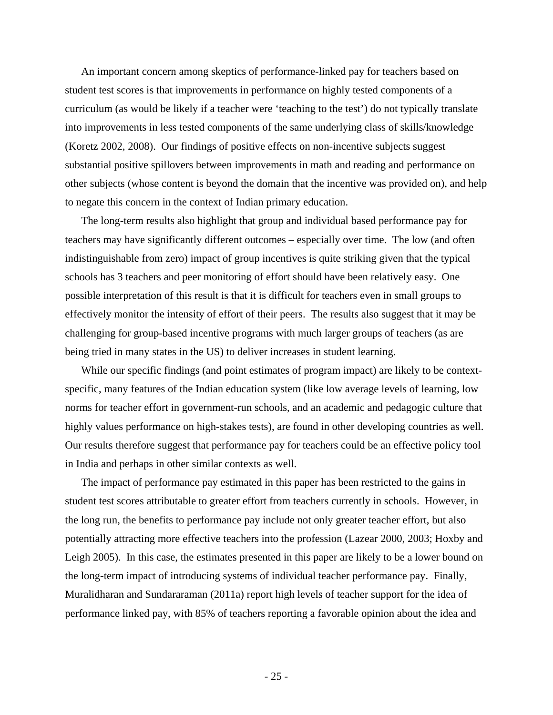An important concern among skeptics of performance-linked pay for teachers based on student test scores is that improvements in performance on highly tested components of a curriculum (as would be likely if a teacher were 'teaching to the test') do not typically translate into improvements in less tested components of the same underlying class of skills/knowledge (Koretz 2002, 2008). Our findings of positive effects on non-incentive subjects suggest substantial positive spillovers between improvements in math and reading and performance on other subjects (whose content is beyond the domain that the incentive was provided on), and help to negate this concern in the context of Indian primary education.

The long-term results also highlight that group and individual based performance pay for teachers may have significantly different outcomes – especially over time. The low (and often indistinguishable from zero) impact of group incentives is quite striking given that the typical schools has 3 teachers and peer monitoring of effort should have been relatively easy. One possible interpretation of this result is that it is difficult for teachers even in small groups to effectively monitor the intensity of effort of their peers. The results also suggest that it may be challenging for group-based incentive programs with much larger groups of teachers (as are being tried in many states in the US) to deliver increases in student learning.

While our specific findings (and point estimates of program impact) are likely to be contextspecific, many features of the Indian education system (like low average levels of learning, low norms for teacher effort in government-run schools, and an academic and pedagogic culture that highly values performance on high-stakes tests), are found in other developing countries as well. Our results therefore suggest that performance pay for teachers could be an effective policy tool in India and perhaps in other similar contexts as well.

The impact of performance pay estimated in this paper has been restricted to the gains in student test scores attributable to greater effort from teachers currently in schools. However, in the long run, the benefits to performance pay include not only greater teacher effort, but also potentially attracting more effective teachers into the profession (Lazear 2000, 2003; Hoxby and Leigh 2005). In this case, the estimates presented in this paper are likely to be a lower bound on the long-term impact of introducing systems of individual teacher performance pay. Finally, Muralidharan and Sundararaman (2011a) report high levels of teacher support for the idea of performance linked pay, with 85% of teachers reporting a favorable opinion about the idea and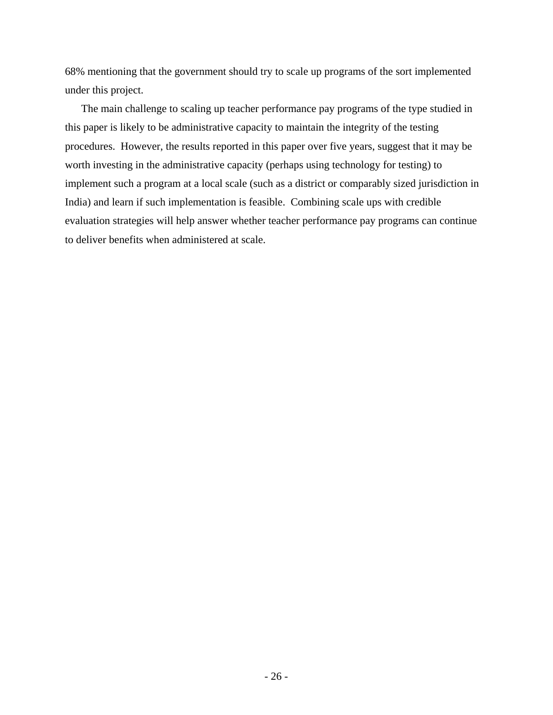68% mentioning that the government should try to scale up programs of the sort implemented under this project.

The main challenge to scaling up teacher performance pay programs of the type studied in this paper is likely to be administrative capacity to maintain the integrity of the testing procedures. However, the results reported in this paper over five years, suggest that it may be worth investing in the administrative capacity (perhaps using technology for testing) to implement such a program at a local scale (such as a district or comparably sized jurisdiction in India) and learn if such implementation is feasible. Combining scale ups with credible evaluation strategies will help answer whether teacher performance pay programs can continue to deliver benefits when administered at scale.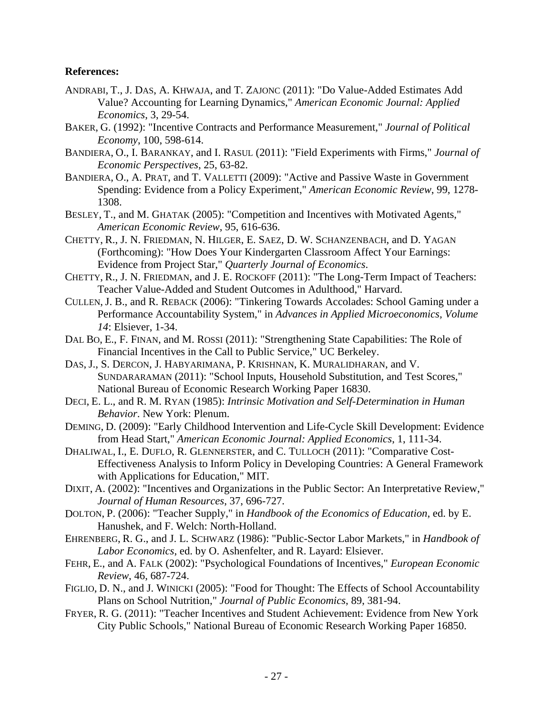### **References:**

- ANDRABI, T., J. DAS, A. KHWAJA, and T. ZAJONC (2011): "Do Value-Added Estimates Add Value? Accounting for Learning Dynamics," *American Economic Journal: Applied Economics*, 3, 29-54.
- BAKER, G. (1992): "Incentive Contracts and Performance Measurement," *Journal of Political Economy*, 100, 598-614.
- BANDIERA, O., I. BARANKAY, and I. RASUL (2011): "Field Experiments with Firms," *Journal of Economic Perspectives*, 25, 63-82.
- BANDIERA, O., A. PRAT, and T. VALLETTI (2009): "Active and Passive Waste in Government Spending: Evidence from a Policy Experiment," *American Economic Review*, 99, 1278- 1308.
- BESLEY, T., and M. GHATAK (2005): "Competition and Incentives with Motivated Agents," *American Economic Review*, 95, 616-636.
- CHETTY, R., J. N. FRIEDMAN, N. HILGER, E. SAEZ, D. W. SCHANZENBACH, and D. YAGAN (Forthcoming): "How Does Your Kindergarten Classroom Affect Your Earnings: Evidence from Project Star," *Quarterly Journal of Economics*.
- CHETTY, R., J. N. FRIEDMAN, and J. E. ROCKOFF (2011): "The Long-Term Impact of Teachers: Teacher Value-Added and Student Outcomes in Adulthood," Harvard.
- CULLEN, J. B., and R. REBACK (2006): "Tinkering Towards Accolades: School Gaming under a Performance Accountability System," in *Advances in Applied Microeconomics, Volume 14*: Elsiever, 1-34.
- DAL BO, E., F. FINAN, and M. ROSSI (2011): "Strengthening State Capabilities: The Role of Financial Incentives in the Call to Public Service," UC Berkeley.
- DAS, J., S. DERCON, J. HABYARIMANA, P. KRISHNAN, K. MURALIDHARAN, and V. SUNDARARAMAN (2011): "School Inputs, Household Substitution, and Test Scores," National Bureau of Economic Research Working Paper 16830.
- DECI, E. L., and R. M. RYAN (1985): *Intrinsic Motivation and Self-Determination in Human Behavior*. New York: Plenum.
- DEMING, D. (2009): "Early Childhood Intervention and Life-Cycle Skill Development: Evidence from Head Start," *American Economic Journal: Applied Economics*, 1, 111-34.
- DHALIWAL, I., E. DUFLO, R. GLENNERSTER, and C. TULLOCH (2011): "Comparative Cost-Effectiveness Analysis to Inform Policy in Developing Countries: A General Framework with Applications for Education," MIT.
- DIXIT, A. (2002): "Incentives and Organizations in the Public Sector: An Interpretative Review," *Journal of Human Resources*, 37, 696-727.
- DOLTON, P. (2006): "Teacher Supply," in *Handbook of the Economics of Education*, ed. by E. Hanushek, and F. Welch: North-Holland.
- EHRENBERG, R. G., and J. L. SCHWARZ (1986): "Public-Sector Labor Markets," in *Handbook of Labor Economics*, ed. by O. Ashenfelter, and R. Layard: Elsiever.
- FEHR, E., and A. FALK (2002): "Psychological Foundations of Incentives," *European Economic Review*, 46, 687-724.
- FIGLIO, D. N., and J. WINICKI (2005): "Food for Thought: The Effects of School Accountability Plans on School Nutrition," *Journal of Public Economics*, 89, 381-94.
- FRYER, R. G. (2011): "Teacher Incentives and Student Achievement: Evidence from New York City Public Schools," National Bureau of Economic Research Working Paper 16850.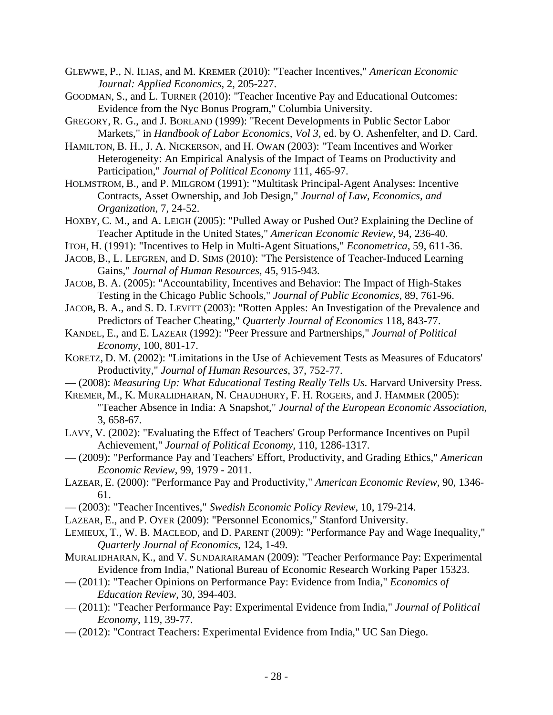- GLEWWE, P., N. ILIAS, and M. KREMER (2010): "Teacher Incentives," *American Economic Journal: Applied Economics*, 2, 205-227.
- GOODMAN, S., and L. TURNER (2010): "Teacher Incentive Pay and Educational Outcomes: Evidence from the Nyc Bonus Program," Columbia University.
- GREGORY, R. G., and J. BORLAND (1999): "Recent Developments in Public Sector Labor Markets," in *Handbook of Labor Economics, Vol 3*, ed. by O. Ashenfelter, and D. Card.
- HAMILTON, B. H., J. A. NICKERSON, and H. OWAN (2003): "Team Incentives and Worker Heterogeneity: An Empirical Analysis of the Impact of Teams on Productivity and Participation," *Journal of Political Economy* 111, 465-97.
- HOLMSTROM, B., and P. MILGROM (1991): "Multitask Principal-Agent Analyses: Incentive Contracts, Asset Ownership, and Job Design," *Journal of Law, Economics, and Organization*, 7, 24-52.
- HOXBY, C. M., and A. LEIGH (2005): "Pulled Away or Pushed Out? Explaining the Decline of Teacher Aptitude in the United States," *American Economic Review*, 94, 236-40.
- ITOH, H. (1991): "Incentives to Help in Multi-Agent Situations," *Econometrica*, 59, 611-36.
- JACOB, B., L. LEFGREN, and D. SIMS (2010): "The Persistence of Teacher-Induced Learning Gains," *Journal of Human Resources*, 45, 915-943.
- JACOB, B. A. (2005): "Accountability, Incentives and Behavior: The Impact of High-Stakes Testing in the Chicago Public Schools," *Journal of Public Economics*, 89, 761-96.
- JACOB, B. A., and S. D. LEVITT (2003): "Rotten Apples: An Investigation of the Prevalence and Predictors of Teacher Cheating," *Quarterly Journal of Economics* 118, 843-77.
- KANDEL, E., and E. LAZEAR (1992): "Peer Pressure and Partnerships," *Journal of Political Economy*, 100, 801-17.
- KORETZ, D. M. (2002): "Limitations in the Use of Achievement Tests as Measures of Educators' Productivity," *Journal of Human Resources*, 37, 752-77.
- (2008): *Measuring Up: What Educational Testing Really Tells Us*. Harvard University Press. KREMER, M., K. MURALIDHARAN, N. CHAUDHURY, F. H. ROGERS, and J. HAMMER (2005):
- "Teacher Absence in India: A Snapshot," *Journal of the European Economic Association*, 3, 658-67.
- LAVY, V. (2002): "Evaluating the Effect of Teachers' Group Performance Incentives on Pupil Achievement," *Journal of Political Economy*, 110, 1286-1317.
- (2009): "Performance Pay and Teachers' Effort, Productivity, and Grading Ethics," *American Economic Review*, 99, 1979 - 2011.
- LAZEAR, E. (2000): "Performance Pay and Productivity," *American Economic Review*, 90, 1346- 61.
- (2003): "Teacher Incentives," *Swedish Economic Policy Review*, 10, 179-214.
- LAZEAR, E., and P. OYER (2009): "Personnel Economics," Stanford University.

LEMIEUX, T., W. B. MACLEOD, and D. PARENT (2009): "Performance Pay and Wage Inequality," *Quarterly Journal of Economics*, 124, 1-49.

- MURALIDHARAN, K., and V. SUNDARARAMAN (2009): "Teacher Performance Pay: Experimental Evidence from India," National Bureau of Economic Research Working Paper 15323.
- (2011): "Teacher Opinions on Performance Pay: Evidence from India," *Economics of Education Review*, 30, 394-403.
- (2011): "Teacher Performance Pay: Experimental Evidence from India," *Journal of Political Economy*, 119, 39-77.
- (2012): "Contract Teachers: Experimental Evidence from India," UC San Diego.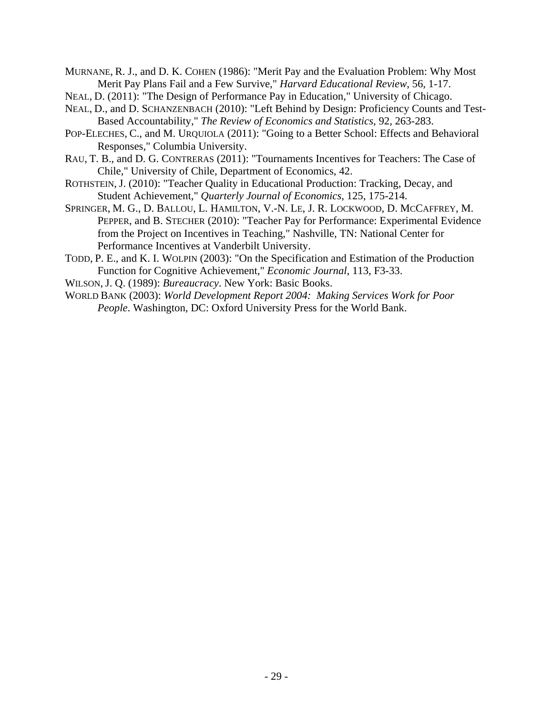MURNANE, R. J., and D. K. COHEN (1986): "Merit Pay and the Evaluation Problem: Why Most Merit Pay Plans Fail and a Few Survive," *Harvard Educational Review*, 56, 1-17.

- NEAL, D. (2011): "The Design of Performance Pay in Education," University of Chicago.
- NEAL, D., and D. SCHANZENBACH (2010): "Left Behind by Design: Proficiency Counts and Test-Based Accountability," *The Review of Economics and Statistics*, 92, 263-283.
- POP-ELECHES, C., and M. URQUIOLA (2011): "Going to a Better School: Effects and Behavioral Responses," Columbia University.
- RAU, T. B., and D. G. CONTRERAS (2011): "Tournaments Incentives for Teachers: The Case of Chile," University of Chile, Department of Economics, 42.
- ROTHSTEIN, J. (2010): "Teacher Quality in Educational Production: Tracking, Decay, and Student Achievement," *Quarterly Journal of Economics*, 125, 175-214.
- SPRINGER, M. G., D. BALLOU, L. HAMILTON, V.-N. LE, J. R. LOCKWOOD, D. MCCAFFREY, M. PEPPER, and B. STECHER (2010): "Teacher Pay for Performance: Experimental Evidence from the Project on Incentives in Teaching," Nashville, TN: National Center for Performance Incentives at Vanderbilt University.
- TODD, P. E., and K. I. WOLPIN (2003): "On the Specification and Estimation of the Production Function for Cognitive Achievement," *Economic Journal*, 113, F3-33.
- WILSON, J. Q. (1989): *Bureaucracy*. New York: Basic Books.
- WORLD BANK (2003): *World Development Report 2004: Making Services Work for Poor People*. Washington, DC: Oxford University Press for the World Bank.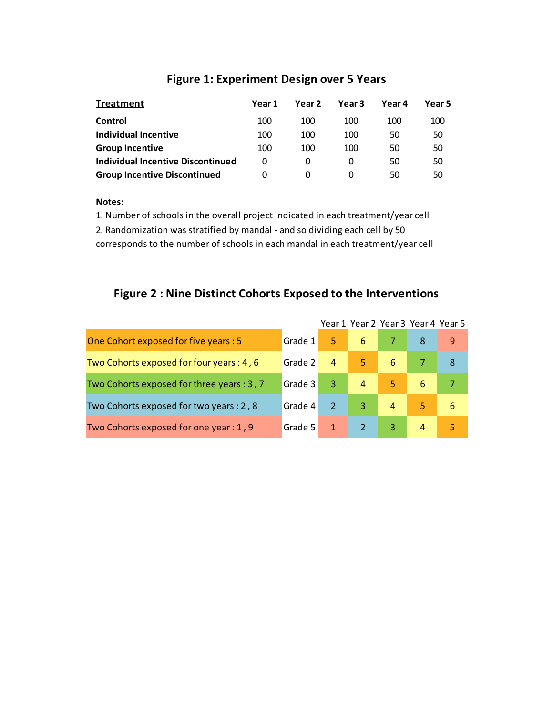| <b>Treatment</b>                         | Year 1   | Year 2 | Year 3 | Year 4 | Year 5 |
|------------------------------------------|----------|--------|--------|--------|--------|
| Control                                  | 100      | 100    | 100    | 100    | 100    |
| Individual Incentive                     | 100      | 100    | 100    | 50     | 50     |
| <b>Group Incentive</b>                   | 100      | 100    | 100    | 50     | 50     |
| <b>Individual Incentive Discontinued</b> | $\Omega$ |        |        | 50     | 50     |
| <b>Group Incentive Discontinued</b>      |          |        |        | 50     | 50     |

### **Figure 1: Experiment Design over 5 Years**

### **Notes:**

1. Number of schools in the overall project indicated in each treatment/year cell 2. Randomization was stratified by mandal - and so dividing each cell by 50 corresponds to the number of schools in each mandal in each treatment/year cell

### **Figure 2 : Nine Distinct Cohorts Exposed to the Interventions**

|                                            |         |                |                |                | Year 1 Year 2 Year 3 Year 4 Year 5 |   |
|--------------------------------------------|---------|----------------|----------------|----------------|------------------------------------|---|
| One Cohort exposed for five years : 5      | Grade 1 | 5.             | 6              |                | 8                                  | 9 |
| Two Cohorts exposed for four years : 4, 6  | Grade 2 | $\overline{4}$ | 5.             | 6              |                                    | 8 |
| Two Cohorts exposed for three years : 3, 7 | Grade 3 | 3              | $\overline{4}$ | 5              | 6                                  |   |
| Two Cohorts exposed for two years : 2, 8   | Grade 4 |                | 3              | $\overline{4}$ | 5                                  | 6 |
| Two Cohorts exposed for one year: 1, 9     | Grade 5 | 1              |                | 3              | 4                                  |   |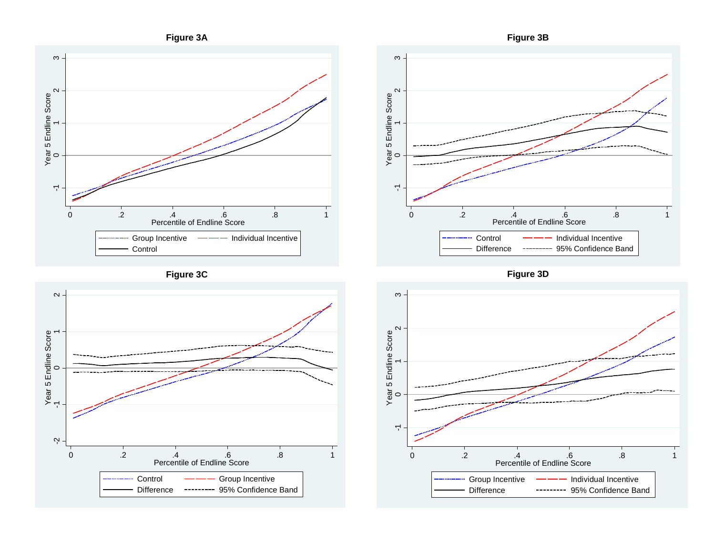







**Figure 3D**

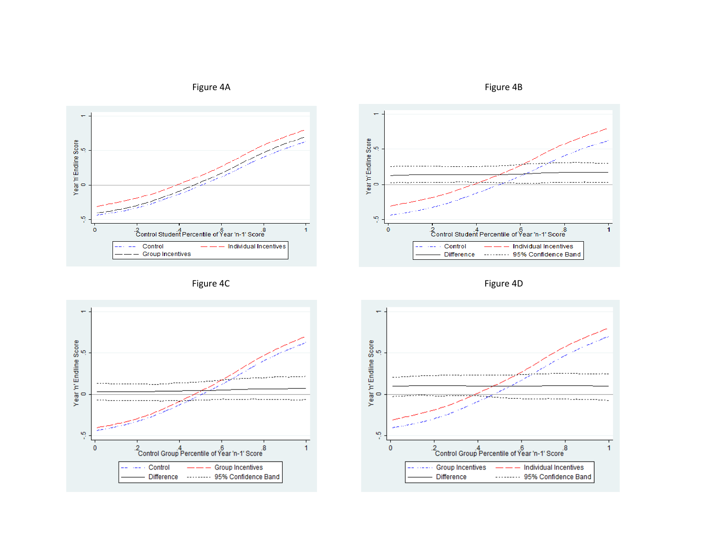







Figure 4C Figure 4D



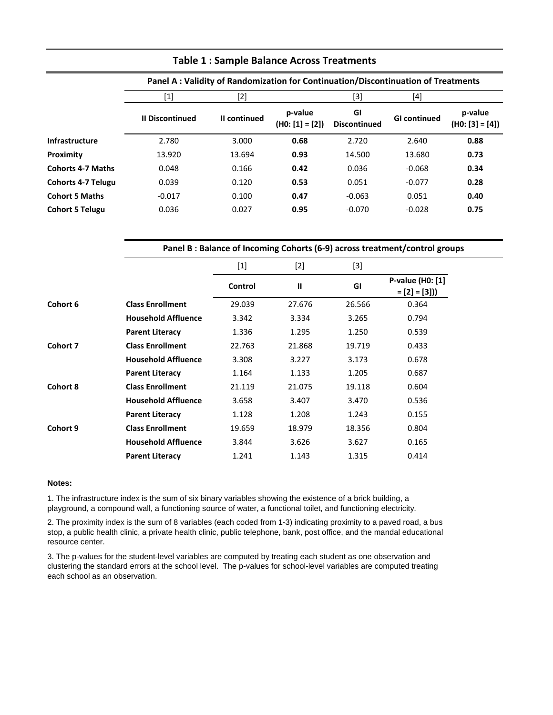|                           |                                                                                                                                                                                                                                                                                                                        | Panel A: Validity of Randomization for Continuation/Discontinuation of Treatments |                              |                           |                     |                              |  |  |  |
|---------------------------|------------------------------------------------------------------------------------------------------------------------------------------------------------------------------------------------------------------------------------------------------------------------------------------------------------------------|-----------------------------------------------------------------------------------|------------------------------|---------------------------|---------------------|------------------------------|--|--|--|
|                           | $[1] % \includegraphics[width=0.9\columnwidth]{figures/fig_1a} \caption{The figure shows the number of times on the right, and the number of times on the right, respectively. The number of times on the right, the number of times on the right, and the number of times on the right, respectively.} \label{fig:2}$ | [2]                                                                               |                              | [3]                       | [4]                 |                              |  |  |  |
|                           | <b>II Discontinued</b>                                                                                                                                                                                                                                                                                                 | II continued                                                                      | p-value<br>$(H0: [1] = [2])$ | GI<br><b>Discontinued</b> | <b>GI</b> continued | p-value<br>$(H0: [3] = [4])$ |  |  |  |
| <b>Infrastructure</b>     | 2.780                                                                                                                                                                                                                                                                                                                  | 3.000                                                                             | 0.68                         | 2.720                     | 2.640               | 0.88                         |  |  |  |
| Proximity                 | 13.920                                                                                                                                                                                                                                                                                                                 | 13.694                                                                            | 0.93                         | 14.500                    | 13.680              | 0.73                         |  |  |  |
| <b>Cohorts 4-7 Maths</b>  | 0.048                                                                                                                                                                                                                                                                                                                  | 0.166                                                                             | 0.42                         | 0.036                     | $-0.068$            | 0.34                         |  |  |  |
| <b>Cohorts 4-7 Telugu</b> | 0.039                                                                                                                                                                                                                                                                                                                  | 0.120                                                                             | 0.53                         | 0.051                     | $-0.077$            | 0.28                         |  |  |  |
| <b>Cohort 5 Maths</b>     | $-0.017$                                                                                                                                                                                                                                                                                                               | 0.100                                                                             | 0.47                         | $-0.063$                  | 0.051               | 0.40                         |  |  |  |
| <b>Cohort 5 Telugu</b>    | 0.036                                                                                                                                                                                                                                                                                                                  | 0.027                                                                             | 0.95                         | $-0.070$                  | $-0.028$            | 0.75                         |  |  |  |

### **Table 1 : Sample Balance Across Treatments**

# $[1]$   $[2]$   $[3]$ **Panel B : Balance of Incoming Cohorts (6-9) across treatment/control groups**

|                 |                            | $\lfloor \pm \rfloor$ | [4]          | IJ     |                                    |
|-----------------|----------------------------|-----------------------|--------------|--------|------------------------------------|
|                 |                            | Control               | $\mathbf{I}$ | GI     | P-value (H0: [1]<br>$= [2] = [3])$ |
| Cohort 6        | <b>Class Enrollment</b>    | 29.039                | 27.676       | 26.566 | 0.364                              |
|                 | <b>Household Affluence</b> | 3.342                 | 3.334        | 3.265  | 0.794                              |
|                 | <b>Parent Literacy</b>     | 1.336                 | 1.295        | 1.250  | 0.539                              |
| Cohort 7        | <b>Class Enrollment</b>    | 22.763                | 21.868       | 19.719 | 0.433                              |
|                 | <b>Household Affluence</b> | 3.308                 | 3.227        | 3.173  | 0.678                              |
|                 | <b>Parent Literacy</b>     | 1.164                 | 1.133        | 1.205  | 0.687                              |
| <b>Cohort 8</b> | <b>Class Enrollment</b>    | 21.119                | 21.075       | 19.118 | 0.604                              |
|                 | <b>Household Affluence</b> | 3.658                 | 3.407        | 3.470  | 0.536                              |
|                 | <b>Parent Literacy</b>     | 1.128                 | 1.208        | 1.243  | 0.155                              |
| Cohort 9        | <b>Class Enrollment</b>    | 19.659                | 18.979       | 18.356 | 0.804                              |
|                 | <b>Household Affluence</b> | 3.844                 | 3.626        | 3.627  | 0.165                              |
|                 | <b>Parent Literacy</b>     | 1.241                 | 1.143        | 1.315  | 0.414                              |

### **Notes:**

1. The infrastructure index is the sum of six binary variables showing the existence of a brick building, a playground, a compound wall, a functioning source of water, a functional toilet, and functioning electricity.

2. The proximity index is the sum of 8 variables (each coded from 1-3) indicating proximity to a paved road, a bus stop, a public health clinic, a private health clinic, public telephone, bank, post office, and the mandal educational resource center.

3. The p-values for the student-level variables are computed by treating each student as one observation and clustering the standard errors at the school level. The p-values for school-level variables are computed treating each school as an observation.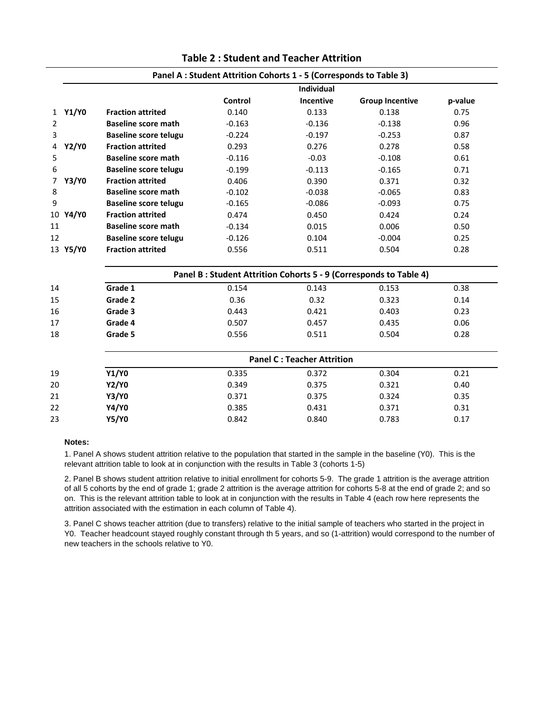|                   |                              | Panel A : Student Attrition Cohorts 1 - 5 (Corresponds to Table 3) |                                   |                                                                   |         |
|-------------------|------------------------------|--------------------------------------------------------------------|-----------------------------------|-------------------------------------------------------------------|---------|
|                   |                              |                                                                    | Individual                        |                                                                   |         |
|                   |                              | Control                                                            | Incentive                         | <b>Group Incentive</b>                                            | p-value |
| 1 Y1/Y0           | <b>Fraction attrited</b>     | 0.140                                                              | 0.133                             | 0.138                                                             | 0.75    |
| $\overline{2}$    | <b>Baseline score math</b>   | $-0.163$                                                           | $-0.136$                          | $-0.138$                                                          | 0.96    |
| 3                 | <b>Baseline score telugu</b> | $-0.224$                                                           | $-0.197$                          | $-0.253$                                                          | 0.87    |
| <b>Y2/Y0</b><br>4 | <b>Fraction attrited</b>     | 0.293                                                              | 0.276                             | 0.278                                                             | 0.58    |
| 5                 | <b>Baseline score math</b>   | $-0.116$                                                           | $-0.03$                           | $-0.108$                                                          | 0.61    |
| 6                 | <b>Baseline score telugu</b> | $-0.199$                                                           | $-0.113$                          | $-0.165$                                                          | 0.71    |
| <b>Y3/Y0</b><br>7 | <b>Fraction attrited</b>     | 0.406                                                              | 0.390                             | 0.371                                                             | 0.32    |
| 8                 | <b>Baseline score math</b>   | $-0.102$                                                           | $-0.038$                          | $-0.065$                                                          | 0.83    |
| $9\,$             | <b>Baseline score telugu</b> | $-0.165$                                                           | $-0.086$                          | $-0.093$                                                          | 0.75    |
| 10 Y4/Y0          | <b>Fraction attrited</b>     | 0.474                                                              | 0.450                             | 0.424                                                             | 0.24    |
| 11                | <b>Baseline score math</b>   | $-0.134$                                                           | 0.015                             | 0.006                                                             | 0.50    |
| 12                | <b>Baseline score telugu</b> | $-0.126$                                                           | 0.104                             | $-0.004$                                                          | 0.25    |
| 13 Y5/Y0          | <b>Fraction attrited</b>     | 0.556                                                              | 0.511                             | 0.504                                                             | 0.28    |
|                   |                              |                                                                    |                                   | Panel B: Student Attrition Cohorts 5 - 9 (Corresponds to Table 4) |         |
| 14                | Grade 1                      | 0.154                                                              | 0.143                             | 0.153                                                             | 0.38    |
| 15                | Grade 2                      | 0.36                                                               | 0.32                              | 0.323                                                             | 0.14    |
| 16                | Grade 3                      | 0.443                                                              | 0.421                             | 0.403                                                             | 0.23    |
| 17                | Grade 4                      | 0.507                                                              | 0.457                             | 0.435                                                             | 0.06    |
| 18                | Grade 5                      | 0.556                                                              | 0.511                             | 0.504                                                             | 0.28    |
|                   |                              |                                                                    | <b>Panel C: Teacher Attrition</b> |                                                                   |         |
| 19                | Y1/Y0                        | 0.335                                                              | 0.372                             | 0.304                                                             | 0.21    |
| 20                | <b>Y2/Y0</b>                 | 0.349                                                              | 0.375                             | 0.321                                                             | 0.40    |
| 21                | <b>Y3/Y0</b>                 | 0.371                                                              | 0.375                             | 0.324                                                             | 0.35    |
| 22                | <b>Y4/Y0</b>                 | 0.385                                                              | 0.431                             | 0.371                                                             | 0.31    |
| 23                | <b>Y5/Y0</b>                 | 0.842                                                              | 0.840                             | 0.783                                                             | 0.17    |
|                   |                              |                                                                    |                                   |                                                                   |         |

### **Table 2 : Student and Teacher Attrition**

### **Notes:**

1. Panel A shows student attrition relative to the population that started in the sample in the baseline (Y0). This is the relevant attrition table to look at in conjunction with the results in Table 3 (cohorts 1-5)

2. Panel B shows student attrition relative to initial enrollment for cohorts 5-9. The grade 1 attrition is the average attrition of all 5 cohorts by the end of grade 1; grade 2 attrition is the average attrition for cohorts 5-8 at the end of grade 2; and so on. This is the relevant attrition table to look at in conjunction with the results in Table 4 (each row here represents the attrition associated with the estimation in each column of Table 4).

3. Panel C shows teacher attrition (due to transfers) relative to the initial sample of teachers who started in the project in Y0. Teacher headcount stayed roughly constant through th 5 years, and so (1-attrition) would correspond to the number of new teachers in the schools relative to Y0.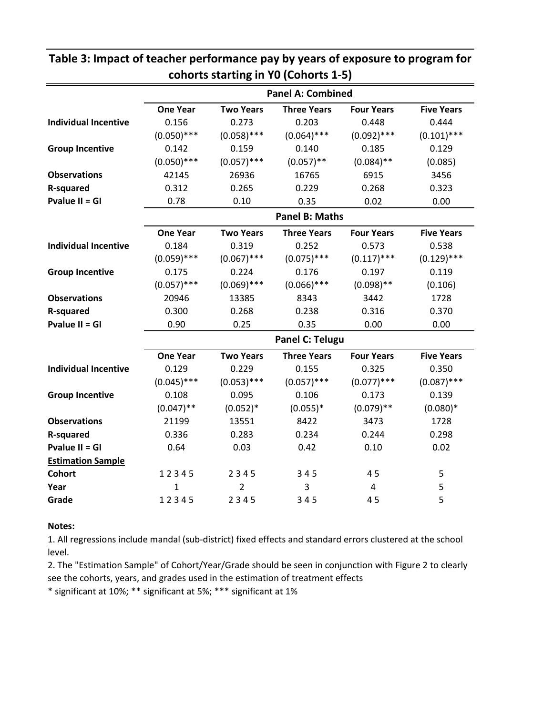|                             |                 |                  | <b>Panel A: Combined</b> |                   |                   |
|-----------------------------|-----------------|------------------|--------------------------|-------------------|-------------------|
|                             | <b>One Year</b> | <b>Two Years</b> | <b>Three Years</b>       | <b>Four Years</b> | <b>Five Years</b> |
| <b>Individual Incentive</b> | 0.156           | 0.273            | 0.203                    | 0.448             | 0.444             |
|                             | $(0.050)$ ***   | $(0.058)$ ***    | $(0.064)$ ***            | $(0.092)$ ***     | $(0.101)$ ***     |
| <b>Group Incentive</b>      | 0.142           | 0.159            | 0.140                    | 0.185             | 0.129             |
|                             | $(0.050)$ ***   | $(0.057)$ ***    | $(0.057)$ **             | $(0.084)$ **      | (0.085)           |
| <b>Observations</b>         | 42145           | 26936            | 16765                    | 6915              | 3456              |
| <b>R-squared</b>            | 0.312           | 0.265            | 0.229                    | 0.268             | 0.323             |
| Pvalue II = GI              | 0.78            | 0.10             | 0.35                     | 0.02              | 0.00              |
|                             |                 |                  | <b>Panel B: Maths</b>    |                   |                   |
|                             | <b>One Year</b> | <b>Two Years</b> | <b>Three Years</b>       | <b>Four Years</b> | <b>Five Years</b> |
| <b>Individual Incentive</b> | 0.184           | 0.319            | 0.252                    | 0.573             | 0.538             |
|                             | $(0.059)$ ***   | $(0.067)$ ***    | $(0.075)$ ***            | $(0.117)$ ***     | $(0.129)$ ***     |
| <b>Group Incentive</b>      | 0.175           | 0.224            | 0.176                    | 0.197             | 0.119             |
|                             | $(0.057)$ ***   | $(0.069)$ ***    | $(0.066)$ ***            | $(0.098)$ **      | (0.106)           |
| <b>Observations</b>         | 20946           | 13385            | 8343                     | 3442              | 1728              |
| <b>R-squared</b>            | 0.300           | 0.268            | 0.238                    | 0.316             | 0.370             |
| Pvalue II = GI              | 0.90            | 0.25             | 0.35                     | 0.00              | 0.00              |
|                             |                 |                  | Panel C: Telugu          |                   |                   |
|                             | <b>One Year</b> | <b>Two Years</b> | <b>Three Years</b>       | <b>Four Years</b> | <b>Five Years</b> |
| <b>Individual Incentive</b> | 0.129           | 0.229            | 0.155                    | 0.325             | 0.350             |
|                             | $(0.045)$ ***   | $(0.053)$ ***    | $(0.057)$ ***            | $(0.077)$ ***     | $(0.087)$ ***     |
| <b>Group Incentive</b>      | 0.108           | 0.095            | 0.106                    | 0.173             | 0.139             |
|                             | $(0.047)$ **    | $(0.052)*$       | $(0.055)*$               | $(0.079)$ **      | $(0.080)*$        |
| <b>Observations</b>         | 21199           | 13551            | 8422                     | 3473              | 1728              |
| <b>R-squared</b>            | 0.336           | 0.283            | 0.234                    | 0.244             | 0.298             |
| <b>Pvalue II = GI</b>       | 0.64            | 0.03             | 0.42                     | 0.10              | 0.02              |
| <b>Estimation Sample</b>    |                 |                  |                          |                   |                   |
| <b>Cohort</b>               | 12345           | 2345             | 345                      | 45                | 5                 |
| Year                        | 1               | 2                | 3                        | 4                 | 5                 |
| Grade                       | 12345           | 2345             | 345                      | 45                | 5                 |

### **Table 3: Impact of teacher performance pay by years of exposure to program for cohorts starting in Y0 (Cohorts 1-5)**

### **Notes:**

1. All regressions include mandal (sub-district) fixed effects and standard errors clustered at the school level.

2. The "Estimation Sample" of Cohort/Year/Grade should be seen in conjunction with Figure 2 to clearly see the cohorts, years, and grades used in the estimation of treatment effects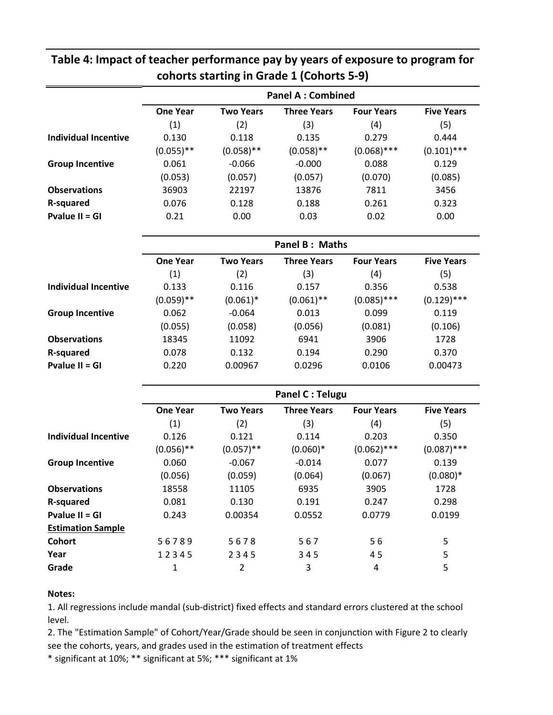|                             |                 |                  | cohorts starting in Grade 1 (Cohorts 5-9) |                   |                   |
|-----------------------------|-----------------|------------------|-------------------------------------------|-------------------|-------------------|
|                             |                 |                  | <b>Panel A: Combined</b>                  |                   |                   |
|                             | <b>One Year</b> | <b>Two Years</b> | <b>Three Years</b>                        | <b>Four Years</b> | <b>Five Years</b> |
|                             | (1)             | (2)              | (3)                                       | (4)               | (5)               |
| <b>Individual Incentive</b> | 0.130           | 0.118            | 0.135                                     | 0.279             | 0.444             |
|                             | $(0.055)$ **    | $(0.058)$ **     | $(0.058)$ **                              | $(0.068)$ ***     | $(0.101)$ ***     |
| <b>Group Incentive</b>      | 0.061           | $-0.066$         | $-0.000$                                  | 0.088             | 0.129             |
|                             | (0.053)         | (0.057)          | (0.057)                                   | (0.070)           | (0.085)           |
| <b>Observations</b>         | 36903           | 22197            | 13876                                     | 7811              | 3456              |
| <b>R-squared</b>            | 0.076           | 0.128            | 0.188                                     | 0.261             | 0.323             |
| Pvalue II = GI              | 0.21            | 0.00             | 0.03                                      | 0.02              | 0.00              |
|                             |                 |                  | Panel B: Maths                            |                   |                   |
|                             | <b>One Year</b> | <b>Two Years</b> | <b>Three Years</b>                        | <b>Four Years</b> | <b>Five Years</b> |
|                             | (1)             | (2)              | (3)                                       | (4)               | (5)               |
| <b>Individual Incentive</b> | 0.133           | 0.116            | 0.157                                     | 0.356             | 0.538             |
|                             | $(0.059)$ **    | $(0.061)^*$      | $(0.061)$ **                              | $(0.085)$ ***     | $(0.129)$ ***     |
| <b>Group Incentive</b>      | 0.062           | $-0.064$         | 0.013                                     | 0.099             | 0.119             |
|                             | (0.055)         | (0.058)          | (0.056)                                   | (0.081)           | (0.106)           |
| <b>Observations</b>         | 18345           | 11092            | 6941                                      | 3906              | 1728              |
| <b>R-squared</b>            | 0.078           | 0.132            | 0.194                                     | 0.290             | 0.370             |
| Pvalue II = GI              | 0.220           | 0.00967          | 0.0296                                    | 0.0106            | 0.00473           |
|                             |                 |                  | <b>Panel C: Telugu</b>                    |                   |                   |
|                             | <b>One Year</b> | <b>Two Years</b> | <b>Three Years</b>                        | <b>Four Years</b> | <b>Five Years</b> |
|                             | (1)             | (2)              | (3)                                       | (4)               | (5)               |
| <b>Individual Incentive</b> | 0.126           | 0.121            | 0.114                                     | 0.203             | 0.350             |
|                             | $(0.056)$ **    | $(0.057)$ **     | $(0.060)*$                                | $(0.062)$ ***     | $(0.087)$ ***     |
| <b>Group Incentive</b>      | 0.060           | $-0.067$         | $-0.014$                                  | 0.077             | 0.139             |
|                             | (0.056)         | (0.059)          | (0.064)                                   | (0.067)           | $(0.080)*$        |
| <b>Observations</b>         | 18558           | 11105            | 6935                                      | 3905              | 1728              |
| <b>R-squared</b>            | 0.081           | 0.130            | 0.191                                     | 0.247             | 0.298             |
| Pvalue II = GI              | 0.243           | 0.00354          | 0.0552                                    | 0.0779            | 0.0199            |
| <b>Estimation Sample</b>    |                 |                  |                                           |                   |                   |
| <b>Cohort</b>               | 56789           | 5678             | 567                                       | 56                | 5                 |
| Year                        | 12345           | 2345             | 345                                       | 45                | 5                 |
| Grade                       | $\mathbf{1}$    | $\overline{2}$   | 3                                         | 4                 | 5                 |
|                             |                 |                  |                                           |                   |                   |

# **Table 4: Impact of teacher performance pay by years of exposure to program for**

### **Notes:**

1. All regressions include mandal (sub-district) fixed effects and standard errors clustered at the school level.

2. The "Estimation Sample" of Cohort/Year/Grade should be seen in conjunction with Figure 2 to clearly see the cohorts, years, and grades used in the estimation of treatment effects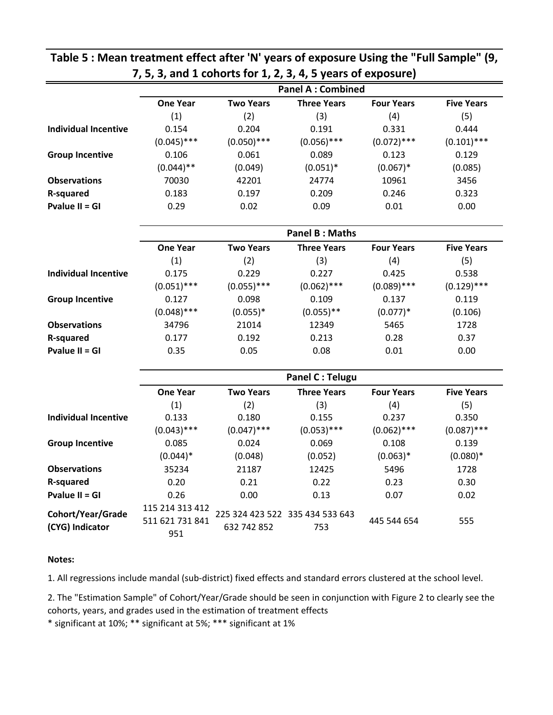|                                      |                                           |                  | <b>Panel A: Combined</b>               |                   |                   |  |  |  |
|--------------------------------------|-------------------------------------------|------------------|----------------------------------------|-------------------|-------------------|--|--|--|
|                                      | <b>One Year</b>                           | <b>Two Years</b> | <b>Three Years</b>                     | <b>Four Years</b> | <b>Five Years</b> |  |  |  |
|                                      | (1)                                       | (2)              | (3)                                    | (4)               | (5)               |  |  |  |
| <b>Individual Incentive</b>          | 0.154                                     | 0.204            | 0.191                                  | 0.331             | 0.444             |  |  |  |
|                                      | $(0.045)$ ***                             | $(0.050)$ ***    | $(0.056)$ ***                          | $(0.072)$ ***     | $(0.101)$ ***     |  |  |  |
| <b>Group Incentive</b>               | 0.106                                     | 0.061            | 0.089                                  | 0.123             | 0.129             |  |  |  |
|                                      | $(0.044)$ **                              | (0.049)          | $(0.051)^*$                            | $(0.067)*$        | (0.085)           |  |  |  |
| <b>Observations</b>                  | 70030                                     | 42201            | 24774                                  | 10961             | 3456              |  |  |  |
| <b>R-squared</b>                     | 0.183                                     | 0.197            | 0.209                                  | 0.246             | 0.323             |  |  |  |
| <b>Pvalue II = GI</b>                | 0.29                                      | 0.02             | 0.09                                   | 0.01              | 0.00              |  |  |  |
|                                      |                                           |                  | <b>Panel B: Maths</b>                  |                   |                   |  |  |  |
|                                      | <b>One Year</b>                           | <b>Two Years</b> | <b>Three Years</b>                     | <b>Four Years</b> | <b>Five Years</b> |  |  |  |
|                                      | (1)                                       | (2)              | (3)                                    | (4)               | (5)               |  |  |  |
| <b>Individual Incentive</b>          | 0.175                                     | 0.229            | 0.227                                  | 0.425             | 0.538             |  |  |  |
|                                      | $(0.051)$ ***                             | $(0.055)$ ***    | $(0.062)$ ***                          | $(0.089)$ ***     | $(0.129)$ ***     |  |  |  |
| <b>Group Incentive</b>               | 0.127                                     | 0.098            | 0.109                                  | 0.137             | 0.119             |  |  |  |
|                                      | $(0.048)$ ***                             | $(0.055)*$       | $(0.055)$ **                           | $(0.077)*$        | (0.106)           |  |  |  |
| <b>Observations</b>                  | 34796                                     | 21014            | 12349                                  | 5465              | 1728              |  |  |  |
| <b>R-squared</b>                     | 0.177                                     | 0.192            | 0.213                                  | 0.28              | 0.37              |  |  |  |
| <b>Pvalue II = GI</b>                | 0.35                                      | 0.05             | 0.08                                   | 0.01              | 0.00              |  |  |  |
|                                      | <b>Panel C: Telugu</b>                    |                  |                                        |                   |                   |  |  |  |
|                                      | <b>One Year</b>                           | <b>Two Years</b> | <b>Three Years</b>                     | <b>Four Years</b> | <b>Five Years</b> |  |  |  |
|                                      | (1)                                       | (2)              | (3)                                    | (4)               | (5)               |  |  |  |
| <b>Individual Incentive</b>          | 0.133                                     | 0.180            | 0.155                                  | 0.237             | 0.350             |  |  |  |
|                                      | $(0.043)$ ***                             | $(0.047)$ ***    | $(0.053)$ ***                          | $(0.062)$ ***     | $(0.087)$ ***     |  |  |  |
| <b>Group Incentive</b>               | 0.085                                     | 0.024            | 0.069                                  | 0.108             | 0.139             |  |  |  |
|                                      | $(0.044)*$                                | (0.048)          | (0.052)                                | $(0.063)*$        | $(0.080)*$        |  |  |  |
| <b>Observations</b>                  | 35234                                     | 21187            | 12425                                  | 5496              | 1728              |  |  |  |
| <b>R-squared</b>                     | 0.20                                      | 0.21             | 0.22                                   | 0.23              | 0.30              |  |  |  |
| Pvalue II = $GI$                     | 0.26                                      | 0.00             | 0.13                                   | 0.07              | 0.02              |  |  |  |
| Cohort/Year/Grade<br>(CYG) Indicator | 115 214 313 412<br>511 621 731 841<br>951 | 632 742 852      | 225 324 423 522 335 434 533 643<br>753 | 445 544 654       | 555               |  |  |  |

### **Table 5 : Mean treatment effect after 'N' years of exposure Using the "Full Sample" (9, 7, 5, 3, and 1 cohorts for 1, 2, 3, 4, 5 years of exposure)**

### **Notes:**

1. All regressions include mandal (sub-district) fixed effects and standard errors clustered at the school level.

2. The "Estimation Sample" of Cohort/Year/Grade should be seen in conjunction with Figure 2 to clearly see the cohorts, years, and grades used in the estimation of treatment effects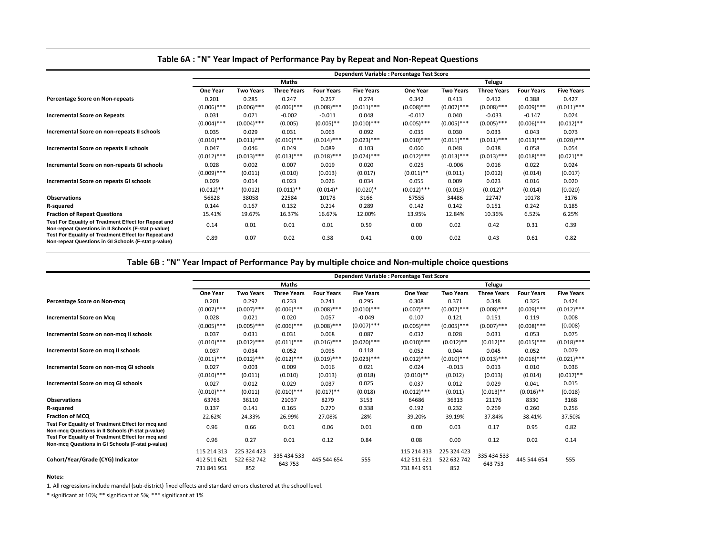|                                                                                                             |                 | <b>Dependent Variable : Percentage Test Score</b> |                    |                   |                   |                 |                  |                    |                   |                   |
|-------------------------------------------------------------------------------------------------------------|-----------------|---------------------------------------------------|--------------------|-------------------|-------------------|-----------------|------------------|--------------------|-------------------|-------------------|
|                                                                                                             |                 |                                                   | <b>Maths</b>       |                   |                   |                 |                  | <b>Telugu</b>      |                   |                   |
|                                                                                                             | <b>One Year</b> | <b>Two Years</b>                                  | <b>Three Years</b> | <b>Four Years</b> | <b>Five Years</b> | <b>One Year</b> | <b>Two Years</b> | <b>Three Years</b> | <b>Four Years</b> | <b>Five Years</b> |
| <b>Percentage Score on Non-repeats</b>                                                                      | 0.201           | 0.285                                             | 0.247              | 0.257             | 0.274             | 0.342           | 0.413            | 0.412              | 0.388             | 0.427             |
|                                                                                                             | $(0.006)$ ***   | $(0.006)$ ***                                     | $(0.006)$ ***      | $(0.008)$ ***     | $(0.011)$ ***     | $(0.008)$ ***   | $(0.007)$ ***    | $(0.008)$ ***      | $(0.009)$ ***     | $(0.011)$ ***     |
| <b>Incremental Score on Repeats</b>                                                                         | 0.031           | 0.071                                             | $-0.002$           | $-0.011$          | 0.048             | $-0.017$        | 0.040            | $-0.033$           | $-0.147$          | 0.024             |
|                                                                                                             | $(0.004)$ ***   | $(0.004)$ ***                                     | (0.005)            | $(0.005)$ **      | $(0.010)$ ***     | $(0.005)$ ***   | $(0.005)$ ***    | $(0.005)$ ***      | $(0.006)$ ***     | $(0.012)$ **      |
| Incremental Score on non-repeats II schools                                                                 | 0.035           | 0.029                                             | 0.031              | 0.063             | 0.092             | 0.035           | 0.030            | 0.033              | 0.043             | 0.073             |
|                                                                                                             | $(0.010)$ ***   | $(0.011)$ ***                                     | $(0.010)$ ***      | $(0.014)$ ***     | $(0.023)$ ***     | $(0.010)$ ***   | $(0.011)$ ***    | $(0.011)$ ***      | $(0.013)$ ***     | $(0.020)$ ***     |
| Incremental Score on repeats II schools                                                                     | 0.047           | 0.046                                             | 0.049              | 0.089             | 0.103             | 0.060           | 0.048            | 0.038              | 0.058             | 0.054             |
|                                                                                                             | $(0.012)$ ***   | $(0.013)$ ***                                     | $(0.013)$ ***      | $(0.018)$ ***     | $(0.024)$ ***     | $(0.012)$ ***   | $(0.013)$ ***    | $(0.013)$ ***      | $(0.018)$ ***     | $(0.021)$ **      |
| Incremental Score on non-repeats GI schools                                                                 | 0.028           | 0.002                                             | 0.007              | 0.019             | 0.020             | 0.025           | $-0.006$         | 0.016              | 0.022             | 0.024             |
|                                                                                                             | $(0.009)$ ***   | (0.011)                                           | (0.010)            | (0.013)           | (0.017)           | $(0.011)$ **    | (0.011)          | (0.012)            | (0.014)           | (0.017)           |
| Incremental Score on repeats GI schools                                                                     | 0.029           | 0.014                                             | 0.023              | 0.026             | 0.034             | 0.055           | 0.009            | 0.023              | 0.016             | 0.020             |
|                                                                                                             | $(0.012)$ **    | (0.012)                                           | $(0.011)$ **       | $(0.014)^*$       | $(0.020)*$        | $(0.012)$ ***   | (0.013)          | $(0.012)*$         | (0.014)           | (0.020)           |
| <b>Observations</b>                                                                                         | 56828           | 38058                                             | 22584              | 10178             | 3166              | 57555           | 34486            | 22747              | 10178             | 3176              |
| R-squared                                                                                                   | 0.144           | 0.167                                             | 0.132              | 0.214             | 0.289             | 0.142           | 0.142            | 0.151              | 0.242             | 0.185             |
| <b>Fraction of Repeat Questions</b>                                                                         | 15.41%          | 19.67%                                            | 16.37%             | 16.67%            | 12.00%            | 13.95%          | 12.84%           | 10.36%             | 6.52%             | 6.25%             |
| Test For Equality of Treatment Effect for Repeat and<br>Non-repeat Questions in II Schools (F-stat p-value) | 0.14            | 0.01                                              | 0.01               | 0.01              | 0.59              | 0.00            | 0.02             | 0.42               | 0.31              | 0.39              |
| Test For Equality of Treatment Effect for Repeat and<br>Non-repeat Questions in GI Schools (F-stat p-value) | 0.89            | 0.07                                              | 0.02               | 0.38              | 0.41              | 0.00            | 0.02             | 0.43               | 0.61              | 0.82              |

|                                                                                                       |                            | <b>Dependent Variable : Percentage Test Score</b> |                    |                   |                   |                            |                    |                    |                   |                   |
|-------------------------------------------------------------------------------------------------------|----------------------------|---------------------------------------------------|--------------------|-------------------|-------------------|----------------------------|--------------------|--------------------|-------------------|-------------------|
|                                                                                                       |                            |                                                   | <b>Maths</b>       |                   |                   |                            |                    | <b>Telugu</b>      |                   |                   |
|                                                                                                       | <b>One Year</b>            | <b>Two Years</b>                                  | <b>Three Years</b> | <b>Four Years</b> | <b>Five Years</b> | <b>One Year</b>            | <b>Two Years</b>   | <b>Three Years</b> | <b>Four Years</b> | <b>Five Years</b> |
| Percentage Score on Non-mcq                                                                           | 0.201                      | 0.292                                             | 0.233              | 0.241             | 0.295             | 0.308                      | 0.371              | 0.348              | 0.325             | 0.424             |
|                                                                                                       | $(0.007)$ ***              | $(0.007)$ ***                                     | $(0.006)$ ***      | $(0.008)$ ***     | $(0.010)$ ***     | $(0.007)$ ***              | $(0.007)$ ***      | $(0.008)$ ***      | $(0.009)$ ***     | $(0.012)$ ***     |
| <b>Incremental Score on Mcq</b>                                                                       | 0.028                      | 0.021                                             | 0.020              | 0.057             | $-0.049$          | 0.107                      | 0.121              | 0.151              | 0.119             | 0.008             |
|                                                                                                       | $(0.005)$ ***              | $(0.005)$ ***                                     | $(0.006)$ ***      | $(0.008)$ ***     | $(0.007)$ ***     | $(0.005)$ ***              | $(0.005)$ ***      | $(0.007)$ ***      | $(0.008)$ ***     | (0.008)           |
| Incremental Score on non-mcq II schools                                                               | 0.037                      | 0.031                                             | 0.031              | 0.068             | 0.087             | 0.032                      | 0.028              | 0.031              | 0.053             | 0.075             |
|                                                                                                       | $(0.010)$ ***              | $(0.012)$ ***                                     | $(0.011)$ ***      | $(0.016)$ ***     | $(0.020)$ ***     | $(0.010)$ ***              | $(0.012)$ **       | $(0.012)$ **       | $(0.015)$ ***     | $(0.018)$ ***     |
| Incremental Score on mcq II schools                                                                   | 0.037                      | 0.034                                             | 0.052              | 0.095             | 0.118             | 0.052                      | 0.044              | 0.045              | 0.052             | 0.079             |
|                                                                                                       | $(0.011)$ ***              | $(0.012)$ ***                                     | $(0.012)$ ***      | $(0.019)$ ***     | $(0.023)$ ***     | $(0.012)$ ***              | $(0.010)$ ***      | $(0.013)$ ***      | $(0.016)$ ***     | $(0.021)$ ***     |
| Incremental Score on non-mcq GI schools                                                               | 0.027                      | 0.003                                             | 0.009              | 0.016             | 0.021             | 0.024                      | $-0.013$           | 0.013              | 0.010             | 0.036             |
|                                                                                                       | $(0.010)$ ***              | (0.011)                                           | (0.010)            | (0.013)           | (0.018)           | $(0.010)$ **               | (0.012)            | (0.013)            | (0.014)           | $(0.017)$ **      |
| <b>Incremental Score on mcq GI schools</b>                                                            | 0.027                      | 0.012                                             | 0.029              | 0.037             | 0.025             | 0.037                      | 0.012              | 0.029              | 0.041             | 0.015             |
|                                                                                                       | $(0.010)$ ***              | (0.011)                                           | $(0.010)$ ***      | $(0.017)$ **      | (0.018)           | $(0.012)$ ***              | (0.011)            | $(0.013)$ **       | $(0.016)$ **      | (0.018)           |
| <b>Observations</b>                                                                                   | 63763                      | 36110                                             | 21037              | 8279              | 3153              | 64686                      | 36313              | 21176              | 8330              | 3168              |
| R-squared                                                                                             | 0.137                      | 0.141                                             | 0.165              | 0.270             | 0.338             | 0.192                      | 0.232              | 0.269              | 0.260             | 0.256             |
| <b>Fraction of MCQ</b>                                                                                | 22.62%                     | 24.33%                                            | 26.99%             | 27.08%            | 28%               | 39.20%                     | 39.19%             | 37.84%             | 38.41%            | 37.50%            |
| Test For Equality of Treatment Effect for mcq and<br>Non-mcq Questions in II Schools (F-stat p-value) | 0.96                       | 0.66                                              | 0.01               | 0.06              | 0.01              | 0.00                       | 0.03               | 0.17               | 0.95              | 0.82              |
| Test For Equality of Treatment Effect for mcq and<br>Non-mcq Questions in GI Schools (F-stat p-value) | 0.96                       | 0.27                                              | 0.01               | 0.12              | 0.84              | 0.08                       | 0.00               | 0.12               | 0.02              | 0.14              |
|                                                                                                       | 115 214 313                | 225 324 423                                       | 335 434 533        |                   |                   | 115 214 313                | 225 324 423        | 335 434 533        |                   |                   |
| Cohort/Year/Grade (CYG) Indicator                                                                     | 412 511 621<br>731 841 951 | 522 632 742<br>852                                | 643 753            | 445 544 654       | 555               | 412 511 621<br>731 841 951 | 522 632 742<br>852 | 643 753            | 445 544 654       | 555               |

| <b>Four Years</b> | <b>Five Years</b> |
|-------------------|-------------------|
| 0.325             | 0.424             |
| $(0.009)$ ***     | $(0.012)$ ***     |
| 0.119             | 0.008             |
| $(0.008)$ ***     | (0.008)           |
| 0.053             | 0.075             |
| $(0.015)$ ***     | $(0.018)$ ***     |
| 0.052             | 0.079             |
| $(0.016)$ ***     | $(0.021)$ ***     |
| 0.010             | 0.036             |
| (0.014)           | $(0.017)$ **      |
| 0.041             | 0.015             |
| $(0.016)$ **      | (0.018)           |
| 8330              | 3168              |
| 0.260             | 0.256             |
| 38.41%            | 37.50%            |
| 0.95              | 0.82              |
| 0.02              | 0.14              |
| 445 544 654       | 555               |

### **Notes:**

\* significant at 10%; \*\* significant at 5%; \*\*\* significant at 1%

| <b>Four Years</b> | <b>Five Years</b> |
|-------------------|-------------------|
| 0.388             | በ 427             |
| $(0.009)$ ***     | $(0.011)$ ***     |
| $-0.147$          | 0.024             |
| $(0.006)$ ***     | $(0.012)$ **      |
| 0.043             | 0.073             |
| $(0.013)$ ***     | $(0.020)$ ***     |
| 0.058             | 0.054             |
| $(0.018)$ ***     | $(0.021)$ **      |
| 0.022             | 0.024             |
| (0.014)           | (0.017)           |
| 0.016             | 0.020             |
| (0.014)           | (0.020)           |
| 10178             | 3176              |
| 0.242             | 0.185             |
| 6.52%             | 6.25%             |
| 0.31              | 0.39              |
| 0.61              | 0.82              |

1. All regressions include mandal (sub-district) fixed effects and standard errors clustered at the school level.

# **Table 6A : "N" Year Impact of Performance Pay by Repeat and Non-Repeat Questions**

# **Table 6B : "N" Year Impact of Performance Pay by multiple choice and Non-multiple choice questions**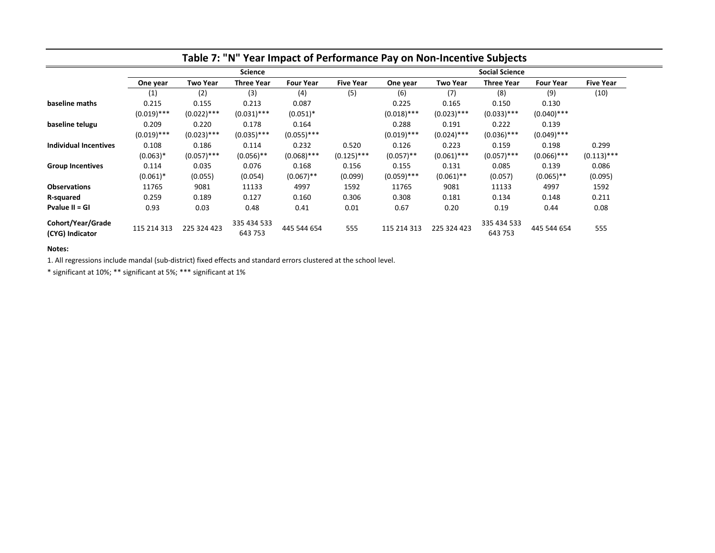|                                      | Table 7: "N" Year Impact of Performance Pay on Non-Incentive Subjects |                 |                        |                  |                  |                       |                 |                        |                  |                  |
|--------------------------------------|-----------------------------------------------------------------------|-----------------|------------------------|------------------|------------------|-----------------------|-----------------|------------------------|------------------|------------------|
|                                      |                                                                       | <b>Science</b>  |                        |                  |                  | <b>Social Science</b> |                 |                        |                  |                  |
|                                      | One year                                                              | <b>Two Year</b> | <b>Three Year</b>      | <b>Four Year</b> | <b>Five Year</b> | One year              | <b>Two Year</b> | <b>Three Year</b>      | <b>Four Year</b> | <b>Five Year</b> |
|                                      | (1)                                                                   | (2)             | (3)                    | (4)              | (5)              | (6)                   | (7)             | (8)                    | (9)              | (10)             |
| baseline maths                       | 0.215                                                                 | 0.155           | 0.213                  | 0.087            |                  | 0.225                 | 0.165           | 0.150                  | 0.130            |                  |
|                                      | $(0.019)$ ***                                                         | $(0.022)$ ***   | $(0.031)$ ***          | $(0.051)^*$      |                  | $(0.018)$ ***         | $(0.023)$ ***   | $(0.033)$ ***          | $(0.040)$ ***    |                  |
| baseline telugu                      | 0.209                                                                 | 0.220           | 0.178                  | 0.164            |                  | 0.288                 | 0.191           | 0.222                  | 0.139            |                  |
|                                      | $(0.019)$ ***                                                         | $(0.023)$ ***   | $(0.035)$ ***          | $(0.055)$ ***    |                  | $(0.019)$ ***         | $(0.024)$ ***   | $(0.036)$ ***          | $(0.049)$ ***    |                  |
| Individual Incentives                | 0.108                                                                 | 0.186           | 0.114                  | 0.232            | 0.520            | 0.126                 | 0.223           | 0.159                  | 0.198            | 0.299            |
|                                      | $(0.063)*$                                                            | $(0.057)$ ***   | $(0.056)$ **           | $(0.068)$ ***    | $(0.125)$ ***    | $(0.057)$ **          | $(0.061)$ ***   | $(0.057)$ ***          | $(0.066)$ ***    | $(0.113)$ ***    |
| <b>Group Incentives</b>              | 0.114                                                                 | 0.035           | 0.076                  | 0.168            | 0.156            | 0.155                 | 0.131           | 0.085                  | 0.139            | 0.086            |
|                                      | $(0.061)^*$                                                           | (0.055)         | (0.054)                | $(0.067)$ **     | (0.099)          | $(0.059)$ ***         | $(0.061)$ **    | (0.057)                | $(0.065)$ **     | (0.095)          |
| <b>Observations</b>                  | 11765                                                                 | 9081            | 11133                  | 4997             | 1592             | 11765                 | 9081            | 11133                  | 4997             | 1592             |
| R-squared                            | 0.259                                                                 | 0.189           | 0.127                  | 0.160            | 0.306            | 0.308                 | 0.181           | 0.134                  | 0.148            | 0.211            |
| Pvalue II = GI                       | 0.93                                                                  | 0.03            | 0.48                   | 0.41             | 0.01             | 0.67                  | 0.20            | 0.19                   | 0.44             | 0.08             |
| Cohort/Year/Grade<br>(CYG) Indicator | 115 214 313                                                           | 225 324 423     | 335 434 533<br>643 753 | 445 544 654      | 555              | 115 214 313           | 225 324 423     | 335 434 533<br>643 753 | 445 544 654      | 555              |

### **Notes:**

1. All regressions include mandal (sub-district) fixed effects and standard errors clustered at the school level.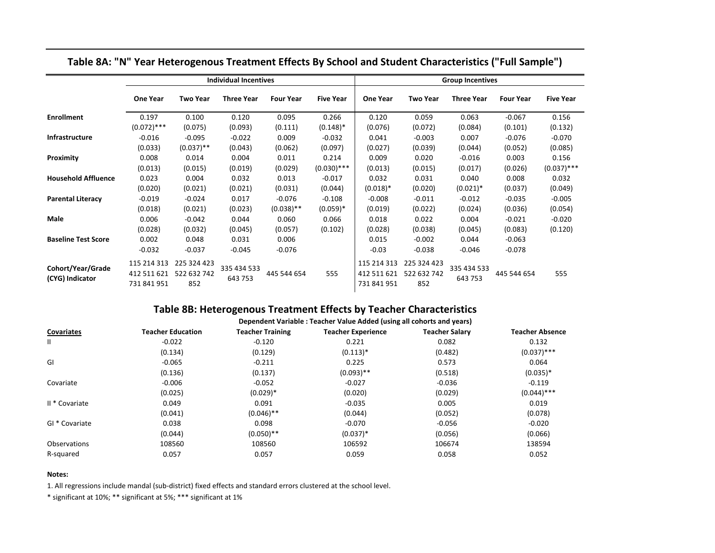|                            | <b>Individual Incentives</b> |                 |                   |                  | <b>Group Incentives</b> |                 |                 |                   |                  |                  |
|----------------------------|------------------------------|-----------------|-------------------|------------------|-------------------------|-----------------|-----------------|-------------------|------------------|------------------|
|                            | <b>One Year</b>              | <b>Two Year</b> | <b>Three Year</b> | <b>Four Year</b> | <b>Five Year</b>        | <b>One Year</b> | <b>Two Year</b> | <b>Three Year</b> | <b>Four Year</b> | <b>Five Year</b> |
| <b>Enrollment</b>          | 0.197                        | 0.100           | 0.120             | 0.095            | 0.266                   | 0.120           | 0.059           | 0.063             | $-0.067$         | 0.156            |
|                            | $(0.072)$ ***                | (0.075)         | (0.093)           | (0.111)          | $(0.148)^*$             | (0.076)         | (0.072)         | (0.084)           | (0.101)          | (0.132)          |
| Infrastructure             | $-0.016$                     | $-0.095$        | $-0.022$          | 0.009            | $-0.032$                | 0.041           | $-0.003$        | 0.007             | $-0.076$         | $-0.070$         |
|                            | (0.033)                      | $(0.037)$ **    | (0.043)           | (0.062)          | (0.097)                 | (0.027)         | (0.039)         | (0.044)           | (0.052)          | (0.085)          |
| Proximity                  | 0.008                        | 0.014           | 0.004             | 0.011            | 0.214                   | 0.009           | 0.020           | $-0.016$          | 0.003            | 0.156            |
|                            | (0.013)                      | (0.015)         | (0.019)           | (0.029)          | $(0.030)$ ***           | (0.013)         | (0.015)         | (0.017)           | (0.026)          | $(0.037)$ ***    |
| <b>Household Affluence</b> | 0.023                        | 0.004           | 0.032             | 0.013            | $-0.017$                | 0.032           | 0.031           | 0.040             | 0.008            | 0.032            |
|                            | (0.020)                      | (0.021)         | (0.021)           | (0.031)          | (0.044)                 | $(0.018)*$      | (0.020)         | $(0.021)^*$       | (0.037)          | (0.049)          |
| <b>Parental Literacy</b>   | $-0.019$                     | $-0.024$        | 0.017             | $-0.076$         | $-0.108$                | $-0.008$        | $-0.011$        | $-0.012$          | $-0.035$         | $-0.005$         |
|                            | (0.018)                      | (0.021)         | (0.023)           | $(0.038)$ **     | $(0.059)*$              | (0.019)         | (0.022)         | (0.024)           | (0.036)          | (0.054)          |
| Male                       | 0.006                        | $-0.042$        | 0.044             | 0.060            | 0.066                   | 0.018           | 0.022           | 0.004             | $-0.021$         | $-0.020$         |
|                            | (0.028)                      | (0.032)         | (0.045)           | (0.057)          | (0.102)                 | (0.028)         | (0.038)         | (0.045)           | (0.083)          | (0.120)          |
| <b>Baseline Test Score</b> | 0.002                        | 0.048           | 0.031             | 0.006            |                         | 0.015           | $-0.002$        | 0.044             | $-0.063$         |                  |
|                            | $-0.032$                     | $-0.037$        | $-0.045$          | $-0.076$         |                         | $-0.03$         | $-0.038$        | $-0.046$          | $-0.078$         |                  |
|                            | 115 214 313                  | 225 324 423     |                   |                  |                         | 115 214 313     | 225 324 423     |                   |                  |                  |
| Cohort/Year/Grade          | 412 511 621                  | 522 632 742     | 335 434 533       | 445 544 654      | 555                     | 412 511 621     | 522 632 742     | 335 434 533       | 445 544 654      | 555              |
| (CYG) Indicator            | 731 841 951                  | 852             | 643 753           |                  |                         | 731 841 951     | 852             | 643 753           |                  |                  |

# **Table 8A: "N" Year Heterogenous Treatment Effects By School and Student Characteristics ("Full Sample")**

# **Table 8B: Heterogenous Treatment Effects by Teacher Characteristics**

|                   | Dependent Variable: Teacher Value Added (using all cohorts and years) |                         |                           |                       |                        |  |  |  |  |
|-------------------|-----------------------------------------------------------------------|-------------------------|---------------------------|-----------------------|------------------------|--|--|--|--|
| <b>Covariates</b> | <b>Teacher Education</b>                                              | <b>Teacher Training</b> | <b>Teacher Experience</b> | <b>Teacher Salary</b> | <b>Teacher Absence</b> |  |  |  |  |
| $\mathbf{I}$      | $-0.022$                                                              | $-0.120$                | 0.221                     | 0.082                 | 0.132                  |  |  |  |  |
|                   | (0.134)                                                               | (0.129)                 | $(0.113)*$                | (0.482)               | $(0.037)$ ***          |  |  |  |  |
| GI                | $-0.065$                                                              | $-0.211$                | 0.225                     | 0.573                 | 0.064                  |  |  |  |  |
|                   | (0.136)                                                               | (0.137)                 | $(0.093)$ **              | (0.518)               | $(0.035)*$             |  |  |  |  |
| Covariate         | $-0.006$                                                              | $-0.052$                | $-0.027$                  | $-0.036$              | $-0.119$               |  |  |  |  |
|                   | (0.025)                                                               | $(0.029)*$              | (0.020)                   | (0.029)               | $(0.044)$ ***          |  |  |  |  |
| II * Covariate    | 0.049                                                                 | 0.091                   | $-0.035$                  | 0.005                 | 0.019                  |  |  |  |  |
|                   | (0.041)                                                               | $(0.046)$ **            | (0.044)                   | (0.052)               | (0.078)                |  |  |  |  |
| GI * Covariate    | 0.038                                                                 | 0.098                   | $-0.070$                  | $-0.056$              | $-0.020$               |  |  |  |  |
|                   | (0.044)                                                               | $(0.050)$ **            | $(0.037)^*$               | (0.056)               | (0.066)                |  |  |  |  |
| Observations      | 108560                                                                | 108560                  | 106592                    | 106674                | 138594                 |  |  |  |  |
| R-squared         | 0.057                                                                 | 0.057                   | 0.059                     | 0.058                 | 0.052                  |  |  |  |  |

### **Notes:**

1. All regressions include mandal (sub-district) fixed effects and standard errors clustered at the school level.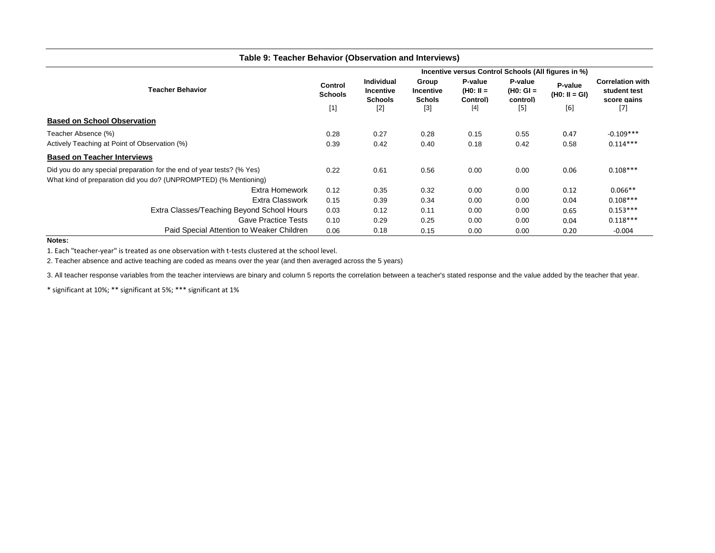| Table 9: Teacher Behavior (Observation and Interviews)                |                                                     |                                                         |                                     |                                    |                                           |                            |                                                        |  |  |
|-----------------------------------------------------------------------|-----------------------------------------------------|---------------------------------------------------------|-------------------------------------|------------------------------------|-------------------------------------------|----------------------------|--------------------------------------------------------|--|--|
|                                                                       | Incentive versus Control Schools (All figures in %) |                                                         |                                     |                                    |                                           |                            |                                                        |  |  |
| <b>Teacher Behavior</b>                                               |                                                     | <b>Individual</b><br><b>Incentive</b><br><b>Schools</b> | Group<br>Incentive<br><b>Schols</b> | P-value<br>$(H0: II =$<br>Control) | <b>P-value</b><br>$(H0: GI =$<br>control) | P-value<br>$(H0: II = GI)$ | <b>Correlation with</b><br>student test<br>score gains |  |  |
|                                                                       | $[1]$                                               | $[2]$                                                   | $[3]$                               | $[4]$                              | $[5]$                                     | [6]                        | $[7]$                                                  |  |  |
| <b>Based on School Observation</b>                                    |                                                     |                                                         |                                     |                                    |                                           |                            |                                                        |  |  |
| Teacher Absence (%)                                                   | 0.28                                                | 0.27                                                    | 0.28                                | 0.15                               | 0.55                                      | 0.47                       | $-0.109***$                                            |  |  |
| Actively Teaching at Point of Observation (%)                         | 0.39                                                | 0.42                                                    | 0.40                                | 0.18                               | 0.42                                      | 0.58                       | $0.114***$                                             |  |  |
| <b>Based on Teacher Interviews</b>                                    |                                                     |                                                         |                                     |                                    |                                           |                            |                                                        |  |  |
| Did you do any special preparation for the end of year tests? (% Yes) | 0.22                                                | 0.61                                                    | 0.56                                | 0.00                               | 0.00                                      | 0.06                       | $0.108***$                                             |  |  |
| What kind of preparation did you do? (UNPROMPTED) (% Mentioning)      |                                                     |                                                         |                                     |                                    |                                           |                            |                                                        |  |  |
| <b>Extra Homework</b>                                                 | 0.12                                                | 0.35                                                    | 0.32                                | 0.00                               | 0.00                                      | 0.12                       | $0.066**$                                              |  |  |
| <b>Extra Classwork</b>                                                | 0.15                                                | 0.39                                                    | 0.34                                | 0.00                               | 0.00                                      | 0.04                       | $0.108***$                                             |  |  |
| Extra Classes/Teaching Beyond School Hours                            | 0.03                                                | 0.12                                                    | 0.11                                | 0.00                               | 0.00                                      | 0.65                       | $0.153***$                                             |  |  |
| <b>Gave Practice Tests</b>                                            | 0.10                                                | 0.29                                                    | 0.25                                | 0.00                               | 0.00                                      | 0.04                       | $0.118***$                                             |  |  |
| Paid Special Attention to Weaker Children                             | 0.06                                                | 0.18                                                    | 0.15                                | 0.00                               | 0.00                                      | 0.20                       | $-0.004$                                               |  |  |

**Notes:** 

1. Each "teacher-year" is treated as one observation with t-tests clustered at the school level.

2. Teacher absence and active teaching are coded as means over the year (and then averaged across the 5 years)

3. All teacher response variables from the teacher interviews are binary and column 5 reports the correlation between a teacher's stated response and the value added by the teacher that year.